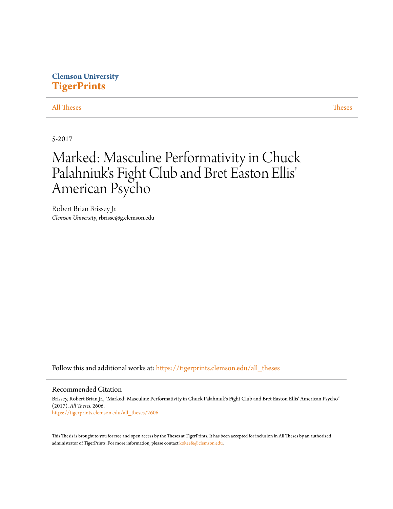## **Clemson University [TigerPrints](https://tigerprints.clemson.edu?utm_source=tigerprints.clemson.edu%2Fall_theses%2F2606&utm_medium=PDF&utm_campaign=PDFCoverPages)**

#### [All Theses](https://tigerprints.clemson.edu/all_theses?utm_source=tigerprints.clemson.edu%2Fall_theses%2F2606&utm_medium=PDF&utm_campaign=PDFCoverPages) **[Theses](https://tigerprints.clemson.edu/theses?utm_source=tigerprints.clemson.edu%2Fall_theses%2F2606&utm_medium=PDF&utm_campaign=PDFCoverPages)**

5-2017

# Marked: Masculine Performativity in Chuck Palahniuk's Fight Club and Bret Easton Ellis 'American Psycho

Robert Brian Brissey Jr. *Clemson University*, rbrisse@g.clemson.edu

Follow this and additional works at: [https://tigerprints.clemson.edu/all\\_theses](https://tigerprints.clemson.edu/all_theses?utm_source=tigerprints.clemson.edu%2Fall_theses%2F2606&utm_medium=PDF&utm_campaign=PDFCoverPages)

#### Recommended Citation

Brissey, Robert Brian Jr., "Marked: Masculine Performativity in Chuck Palahniuk's Fight Club and Bret Easton Ellis' American Psycho" (2017). *All Theses*. 2606. [https://tigerprints.clemson.edu/all\\_theses/2606](https://tigerprints.clemson.edu/all_theses/2606?utm_source=tigerprints.clemson.edu%2Fall_theses%2F2606&utm_medium=PDF&utm_campaign=PDFCoverPages)

This Thesis is brought to you for free and open access by the Theses at TigerPrints. It has been accepted for inclusion in All Theses by an authorized administrator of TigerPrints. For more information, please contact [kokeefe@clemson.edu](mailto:kokeefe@clemson.edu).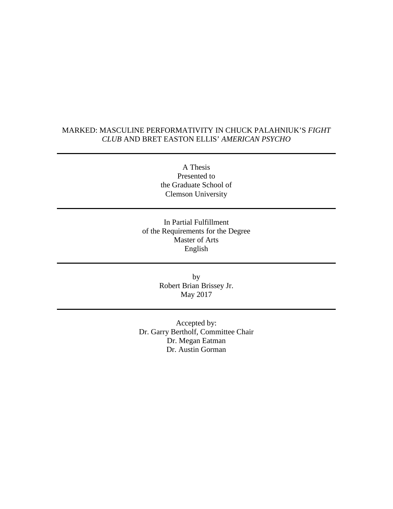### MARKED: MASCULINE PERFORMATIVITY IN CHUCK PALAHNIUK'S *FIGHT CLUB* AND BRET EASTON ELLIS' *AMERICAN PSYCHO*

A Thesis Presented to the Graduate School of Clemson University

In Partial Fulfillment of the Requirements for the Degree Master of Arts English

> by Robert Brian Brissey Jr. May 2017

Accepted by: Dr. Garry Bertholf, Committee Chair Dr. Megan Eatman Dr. Austin Gorman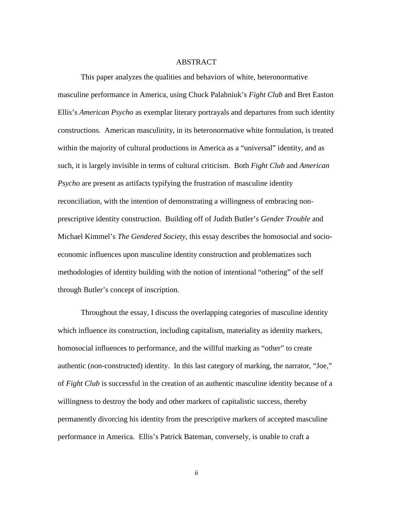#### ABSTRACT

This paper analyzes the qualities and behaviors of white, heteronormative masculine performance in America, using Chuck Palahniuk's *Fight Club* and Bret Easton Ellis's *American Psycho* as exemplar literary portrayals and departures from such identity constructions. American masculinity, in its heteronormative white formulation, is treated within the majority of cultural productions in America as a "universal" identity, and as such, it is largely invisible in terms of cultural criticism. Both *Fight Club* and *American Psycho* are present as artifacts typifying the frustration of masculine identity reconciliation, with the intention of demonstrating a willingness of embracing nonprescriptive identity construction. Building off of Judith Butler's *Gender Trouble* and Michael Kimmel's *The Gendered Society*, this essay describes the homosocial and socioeconomic influences upon masculine identity construction and problematizes such methodologies of identity building with the notion of intentional "othering" of the self through Butler's concept of inscription.

Throughout the essay, I discuss the overlapping categories of masculine identity which influence its construction, including capitalism, materiality as identity markers, homosocial influences to performance, and the willful marking as "other" to create authentic (non-constructed) identity. In this last category of marking, the narrator, "Joe," of *Fight Club* is successful in the creation of an authentic masculine identity because of a willingness to destroy the body and other markers of capitalistic success, thereby permanently divorcing his identity from the prescriptive markers of accepted masculine performance in America. Ellis's Patrick Bateman, conversely, is unable to craft a

ii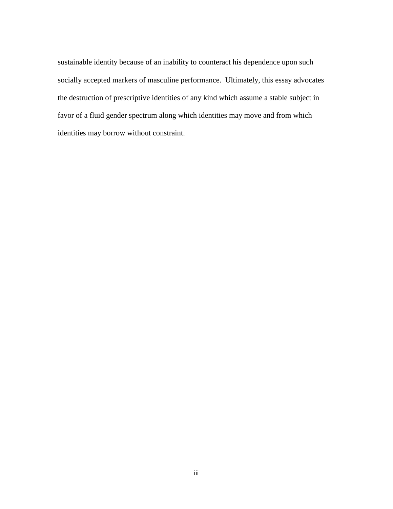sustainable identity because of an inability to counteract his dependence upon such socially accepted markers of masculine performance. Ultimately, this essay advocates the destruction of prescriptive identities of any kind which assume a stable subject in favor of a fluid gender spectrum along which identities may move and from which identities may borrow without constraint.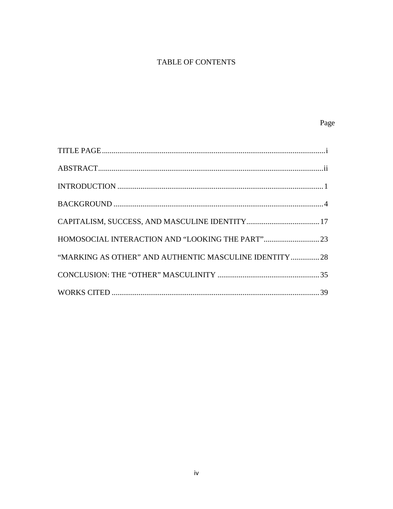# TABLE OF CONTENTS

| "MARKING AS OTHER" AND AUTHENTIC MASCULINE IDENTITY 28 |  |
|--------------------------------------------------------|--|
|                                                        |  |
|                                                        |  |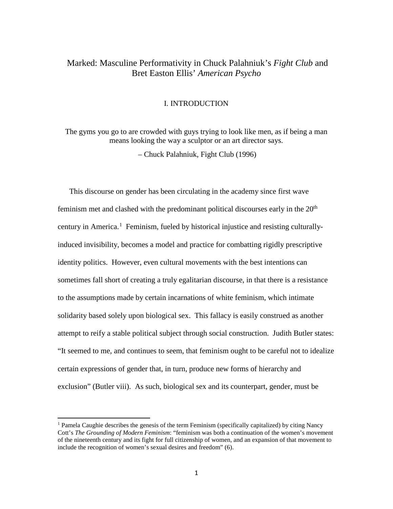## Marked: Masculine Performativity in Chuck Palahniuk's *Fight Club* and Bret Easton Ellis' *American Psycho*

#### I. INTRODUCTION

The gyms you go to are crowded with guys trying to look like men, as if being a man means looking the way a sculptor or an art director says.

– Chuck Palahniuk, Fight Club (1996)

This discourse on gender has been circulating in the academy since first wave feminism met and clashed with the predominant political discourses early in the  $20<sup>th</sup>$ century in America.<sup>[1](#page-5-0)</sup> Feminism, fueled by historical injustice and resisting culturallyinduced invisibility, becomes a model and practice for combatting rigidly prescriptive identity politics. However, even cultural movements with the best intentions can sometimes fall short of creating a truly egalitarian discourse, in that there is a resistance to the assumptions made by certain incarnations of white feminism, which intimate solidarity based solely upon biological sex. This fallacy is easily construed as another attempt to reify a stable political subject through social construction. Judith Butler states: "It seemed to me, and continues to seem, that feminism ought to be careful not to idealize certain expressions of gender that, in turn, produce new forms of hierarchy and exclusion" (Butler viii). As such, biological sex and its counterpart, gender, must be

<span id="page-5-0"></span><sup>&</sup>lt;sup>1</sup> Pamela Caughie describes the genesis of the term Feminism (specifically capitalized) by citing Nancy Cott's *The Grounding of Modern Feminism*: "feminism was both a continuation of the women's movement of the nineteenth century and its fight for full citizenship of women, and an expansion of that movement to include the recognition of women's sexual desires and freedom" (6).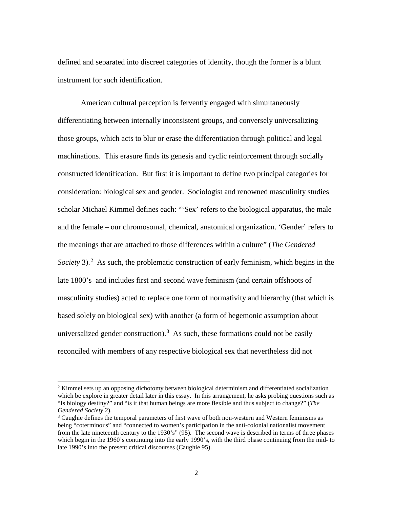defined and separated into discreet categories of identity, though the former is a blunt instrument for such identification.

American cultural perception is fervently engaged with simultaneously differentiating between internally inconsistent groups, and conversely universalizing those groups, which acts to blur or erase the differentiation through political and legal machinations. This erasure finds its genesis and cyclic reinforcement through socially constructed identification. But first it is important to define two principal categories for consideration: biological sex and gender. Sociologist and renowned masculinity studies scholar Michael Kimmel defines each: "'Sex' refers to the biological apparatus, the male and the female – our chromosomal, chemical, anatomical organization. 'Gender' refers to the meanings that are attached to those differences within a culture" (*The Gendered Society* 3).<sup>[2](#page-6-0)</sup> As such, the problematic construction of early feminism, which begins in the late 1800's and includes first and second wave feminism (and certain offshoots of masculinity studies) acted to replace one form of normativity and hierarchy (that which is based solely on biological sex) with another (a form of hegemonic assumption about universalized gender construction).<sup>[3](#page-6-1)</sup> As such, these formations could not be easily reconciled with members of any respective biological sex that nevertheless did not

<span id="page-6-0"></span> $2$  Kimmel sets up an opposing dichotomy between biological determinism and differentiated socialization which be explore in greater detail later in this essay. In this arrangement, he asks probing questions such as "Is biology destiny?" and "is it that human beings are more flexible and thus subject to change?" (*The Gendered Society* 2).

<span id="page-6-1"></span> $3$  Caughie defines the temporal parameters of first wave of both non-western and Western feminisms as being "coterminous" and "connected to women's participation in the anti-colonial nationalist movement from the late nineteenth century to the 1930's" (95). The second wave is described in terms of three phases which begin in the 1960's continuing into the early 1990's, with the third phase continuing from the mid- to late 1990's into the present critical discourses (Caughie 95).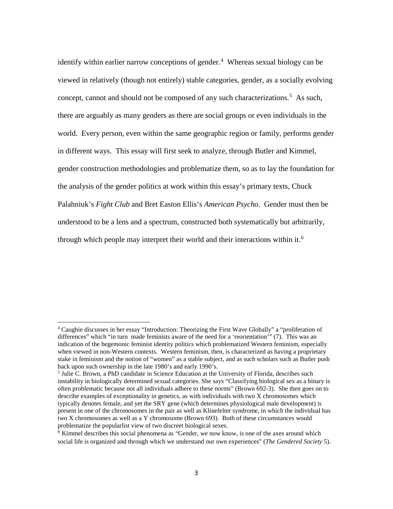identify within earlier narrow conceptions of gender.<sup>[4](#page-7-0)</sup> Whereas sexual biology can be viewed in relatively (though not entirely) stable categories, gender, as a socially evolving concept, cannot and should not be composed of any such characterizations.<sup>[5](#page-7-1)</sup> As such, there are arguably as many genders as there are social groups or even individuals in the world. Every person, even within the same geographic region or family, performs gender in different ways. This essay will first seek to analyze, through Butler and Kimmel, gender construction methodologies and problematize them, so as to lay the foundation for the analysis of the gender politics at work within this essay's primary texts, Chuck Palahniuk's *Fight Club* and Bret Easton Ellis's *American Psycho*. Gender must then be understood to be a lens and a spectrum, constructed both systematically but arbitrarily, through which people may interpret their world and their interactions within it.<sup>[6](#page-7-2)</sup>

<span id="page-7-0"></span><sup>4</sup> Caughie discusses in her essay "Introduction: Theorizing the First Wave Globally" a "proliferation of differences" which "in turn made feminists aware of the need for a 'reorientation'" (7). This was an indication of the hegemonic feminist identity politics which problematized Western feminism, especially when viewed in non-Western contexts. Western feminism, then, is characterized as having a proprietary stake in feminism and the notion of "women" as a stable subject, and as such scholars such as Butler push back upon such ownership in the late 1980's and early 1990's.

<span id="page-7-1"></span><sup>&</sup>lt;sup>5</sup> Julie C. Brown, a PhD candidate in Science Education at the University of Florida, describes such instability in biologically determined sexual categories. She says "Classifying biological sex as a binary is often problematic because not all individuals adhere to these norms" (Brown 692-3). She then goes on to describe examples of exceptionality in genetics, as with individuals with two X chromosomes which typically denotes female, and yet the SRY gene (which determines physiological male development) is present in one of the chromosomes in the pair as well as Klinefelter syndrome, in which the individual has two X chromosomes as well as a Y chromosome (Brown 693). Both of these circumstances would problematize the popularlist view of two discreet biological sexes.

<span id="page-7-2"></span> $6$  Kimmel describes this social phenomena as "Gender, we now know, is one of the axes around which social life is organized and through which we understand our own experiences" (*The Gendered Society* 5).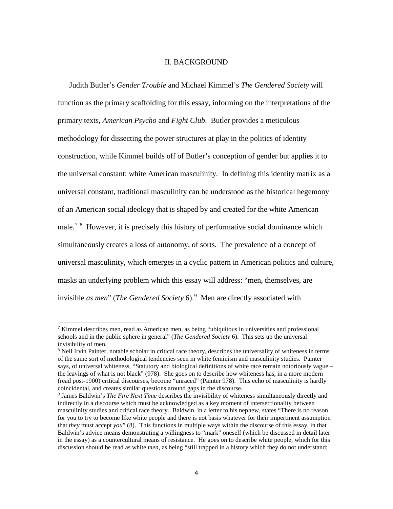#### II. BACKGROUND

Judith Butler's *Gender Trouble* and Michael Kimmel's *The Gendered Society* will function as the primary scaffolding for this essay, informing on the interpretations of the primary texts, *American Psycho* and *Fight Club*. Butler provides a meticulous methodology for dissecting the power structures at play in the politics of identity construction, while Kimmel builds off of Butler's conception of gender but applies it to the universal constant: white American masculinity. In defining this identity matrix as a universal constant, traditional masculinity can be understood as the historical hegemony of an American social ideology that is shaped by and created for the white American male.<sup>[7](#page-8-0)[8](#page-8-1)</sup> However, it is precisely this history of performative social dominance which simultaneously creates a loss of autonomy, of sorts. The prevalence of a concept of universal masculinity, which emerges in a cyclic pattern in American politics and culture, masks an underlying problem which this essay will address: "men, themselves, are invisible *as men*" (*The Gendered Society* 6).[9](#page-8-2) Men are directly associated with

<span id="page-8-0"></span> $7$  Kimmel describes men, read as American men, as being "ubiquitous in universities and professional schools and in the public sphere in general" (*The Gendered Society* 6). This sets up the universal invisibility of men.

<span id="page-8-1"></span><sup>&</sup>lt;sup>8</sup> Nell Irvin Painter, notable scholar in critical race theory, describes the universality of whiteness in terms of the same sort of methodological tendencies seen in white feminism and masculinity studies. Painter says, of universal whiteness, "Statutory and biological definitions of white race remain notoriously vague – the leavings of what is not black" (978). She goes on to describe how whiteness has, in a more modern (read post-1900) critical discourses, become "unraced" (Painter 978). This echo of masculinity is hardly coincidental, and creates similar questions around gaps in the discourse.

<span id="page-8-2"></span><sup>9</sup> James Baldwin's *The Fire Next Time* describes the invisibility of whiteness simultaneously directly and indirectly in a discourse which must be acknowledged as a key moment of intersectionality between masculinity studies and critical race theory. Baldwin, in a letter to his nephew, states "There is no reason for you to try to become like white people and there is not basis whatever for their impertinent assumption that *they* must accept *you*" (8). This functions in multiple ways within the discourse of this essay, in that Baldwin's advice means demonstrating a willingness to "mark" oneself (which be discussed in detail later in the essay) as a countercultural means of resistance. He goes on to describe white people, which for this discussion should be read as white *men*, as being "still trapped in a history which they do not understand;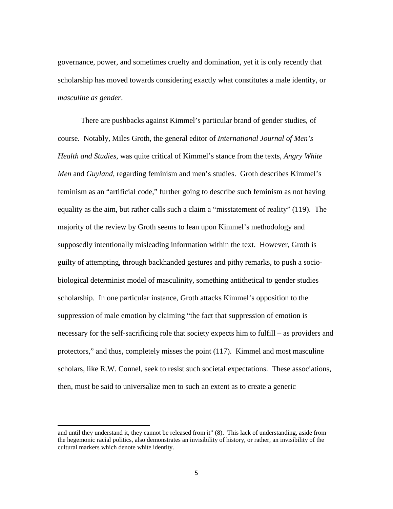governance, power, and sometimes cruelty and domination, yet it is only recently that scholarship has moved towards considering exactly what constitutes a male identity, or *masculine as gender*.

There are pushbacks against Kimmel's particular brand of gender studies, of course. Notably, Miles Groth, the general editor of *International Journal of Men's Health and Studies*, was quite critical of Kimmel's stance from the texts, *Angry White Men* and *Guyland,* regarding feminism and men's studies. Groth describes Kimmel's feminism as an "artificial code," further going to describe such feminism as not having equality as the aim, but rather calls such a claim a "misstatement of reality" (119). The majority of the review by Groth seems to lean upon Kimmel's methodology and supposedly intentionally misleading information within the text. However, Groth is guilty of attempting, through backhanded gestures and pithy remarks, to push a sociobiological determinist model of masculinity, something antithetical to gender studies scholarship. In one particular instance, Groth attacks Kimmel's opposition to the suppression of male emotion by claiming "the fact that suppression of emotion is necessary for the self-sacrificing role that society expects him to fulfill – as providers and protectors," and thus, completely misses the point (117). Kimmel and most masculine scholars, like R.W. Connel, seek to resist such societal expectations.These associations, then, must be said to universalize men to such an extent as to create a generic

and until they understand it, they cannot be released from it" (8). This lack of understanding, aside from the hegemonic racial politics, also demonstrates an invisibility of history, or rather, an invisibility of the cultural markers which denote white identity.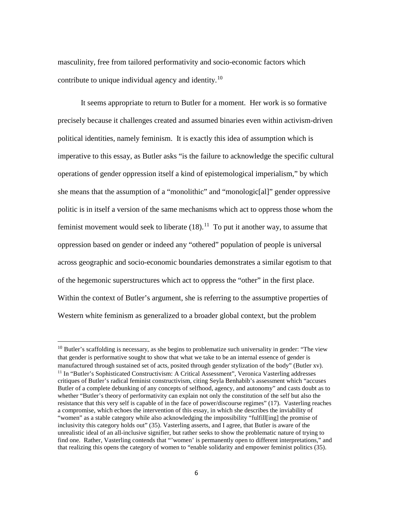masculinity, free from tailored performativity and socio-economic factors which contribute to unique individual agency and identity.<sup>[10](#page-10-0)</sup>

It seems appropriate to return to Butler for a moment. Her work is so formative precisely because it challenges created and assumed binaries even within activism-driven political identities, namely feminism. It is exactly this idea of assumption which is imperative to this essay, as Butler asks "is the failure to acknowledge the specific cultural operations of gender oppression itself a kind of epistemological imperialism," by which she means that the assumption of a "monolithic" and "monologic[al]" gender oppressive politic is in itself a version of the same mechanisms which act to oppress those whom the feminist movement would seek to liberate  $(18)$ .<sup>[11](#page-10-1)</sup> To put it another way, to assume that oppression based on gender or indeed any "othered" population of people is universal across geographic and socio-economic boundaries demonstrates a similar egotism to that of the hegemonic superstructures which act to oppress the "other" in the first place. Within the context of Butler's argument, she is referring to the assumptive properties of Western white feminism as generalized to a broader global context, but the problem

<span id="page-10-1"></span><span id="page-10-0"></span> $10$  Butler's scaffolding is necessary, as she begins to problematize such universality in gender: "The view that gender is performative sought to show that what we take to be an internal essence of gender is manufactured through sustained set of acts, posited through gender stylization of the body" (Butler xv). <sup>11</sup> In "Butler's Sophisticated Constructivism: A Critical Assessment", Veronica Vasterling addresses critiques of Butler's radical feminist constructivism, citing Seyla Benhabib's assessment which "accuses Butler of a complete debunking of any concepts of selfhood, agency, and autonomy" and casts doubt as to whether "Butler's theory of performativity can explain not only the constitution of the self but also the resistance that this very self is capable of in the face of power/discourse regimes" (17). Vasterling reaches a compromise, which echoes the intervention of this essay, in which she describes the inviability of "women" as a stable category while also acknowledging the impossibility "fulfill[ing] the promise of inclusivity this category holds out" (35). Vasterling asserts, and I agree, that Butler is aware of the unrealistic ideal of an all-inclusive signifier, but rather seeks to show the problematic nature of trying to find one. Rather, Vasterling contends that "'women' is permanently open to different interpretations," and that realizing this opens the category of women to "enable solidarity and empower feminist politics (35).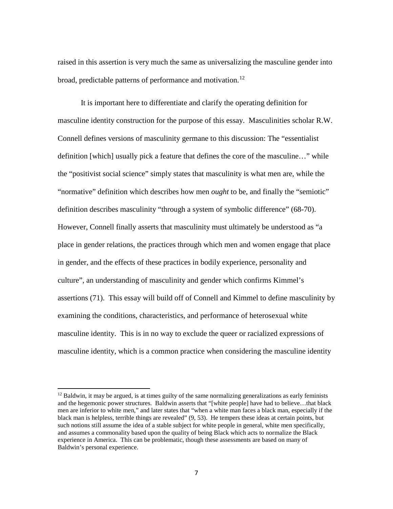raised in this assertion is very much the same as universalizing the masculine gender into broad, predictable patterns of performance and motivation.<sup>[12](#page-11-0)</sup>

It is important here to differentiate and clarify the operating definition for masculine identity construction for the purpose of this essay. Masculinities scholar R.W. Connell defines versions of masculinity germane to this discussion: The "essentialist definition [which] usually pick a feature that defines the core of the masculine…" while the "positivist social science" simply states that masculinity is what men are, while the "normative" definition which describes how men *ought* to be, and finally the "semiotic" definition describes masculinity "through a system of symbolic difference" (68-70). However, Connell finally asserts that masculinity must ultimately be understood as "a place in gender relations, the practices through which men and women engage that place in gender, and the effects of these practices in bodily experience, personality and culture", an understanding of masculinity and gender which confirms Kimmel's assertions (71). This essay will build off of Connell and Kimmel to define masculinity by examining the conditions, characteristics, and performance of heterosexual white masculine identity. This is in no way to exclude the queer or racialized expressions of masculine identity, which is a common practice when considering the masculine identity

<span id="page-11-0"></span> $12$  Baldwin, it may be argued, is at times guilty of the same normalizing generalizations as early feminists and the hegemonic power structures. Baldwin asserts that "[white people] have had to believe…that black men are inferior to white men," and later states that "when a white man faces a black man, especially if the black man is helpless, terrible things are revealed" (9, 53). He tempers these ideas at certain points, but such notions still assume the idea of a stable subject for white people in general, white men specifically, and assumes a commonality based upon the quality of being Black which acts to normalize the Black experience in America. This can be problematic, though these assessments are based on many of Baldwin's personal experience.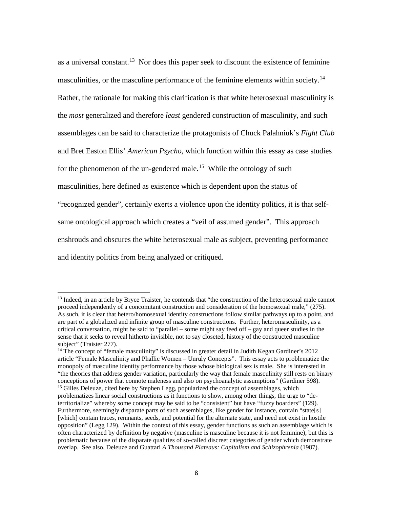as a universal constant.<sup>[13](#page-12-0)</sup> Nor does this paper seek to discount the existence of feminine masculinities, or the masculine performance of the feminine elements within society.<sup>[14](#page-12-1)</sup> Rather, the rationale for making this clarification is that white heterosexual masculinity is the *most* generalized and therefore *least* gendered construction of masculinity, and such assemblages can be said to characterize the protagonists of Chuck Palahniuk's *Fight Club*  and Bret Easton Ellis' *American Psycho*, which function within this essay as case studies for the phenomenon of the un-gendered male.<sup>[15](#page-12-2)</sup> While the ontology of such masculinities, here defined as existence which is dependent upon the status of "recognized gender", certainly exerts a violence upon the identity politics, it is that selfsame ontological approach which creates a "veil of assumed gender". This approach enshrouds and obscures the white heterosexual male as subject, preventing performance and identity politics from being analyzed or critiqued.

<span id="page-12-0"></span><sup>&</sup>lt;sup>13</sup> Indeed, in an article by Bryce Traister, he contends that "the construction of the heterosexual male cannot proceed independently of a concomitant construction and consideration of the homosexual male," (275). As such, it is clear that hetero/homosexual identity constructions follow similar pathways up to a point, and are part of a globalized and infinite group of masculine constructions. Further, heteromasculinity, as a critical conversation, might be said to "parallel – some might say feed off – gay and queer studies in the sense that it seeks to reveal hitherto invisible, not to say closeted, history of the constructed masculine subject" (Traister 277).

<span id="page-12-2"></span><span id="page-12-1"></span><sup>&</sup>lt;sup>14</sup> The concept of "female masculinity" is discussed in greater detail in Judith Kegan Gardiner's 2012 article "Female Masculinity and Phallic Women – Unruly Concepts". This essay acts to problematize the monopoly of masculine identity performance by those whose biological sex is male. She is interested in "the theories that address gender variation, particularly the way that female masculinity still rests on binary conceptions of power that connote maleness and also on psychoanalytic assumptions" (Gardiner 598). <sup>15</sup> Gilles Deleuze, cited here by Stephen Legg, popularized the concept of assemblages, which problematizes linear social constructions as it functions to show, among other things, the urge to "deterritorialize" whereby some concept may be said to be "consistent" but have "fuzzy boarders" (129). Furthermore, seemingly disparate parts of such assemblages, like gender for instance, contain "state[s] [which] contain traces, remnants, seeds, and potential for the alternate state, and need not exist in hostile opposition" (Legg 129). Within the context of this essay, gender functions as such an assemblage which is often characterized by definition by negative (masculine is masculine because it is not feminine), but this is problematic because of the disparate qualities of so-called discreet categories of gender which demonstrate overlap. See also, Deleuze and Guattari *A Thousand Plateaus: Capitalism and Schizophrenia* (1987).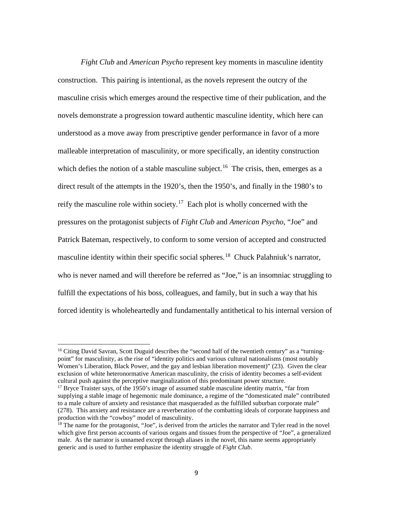*Fight Club* and *American Psycho* represent key moments in masculine identity construction. This pairing is intentional, as the novels represent the outcry of the masculine crisis which emerges around the respective time of their publication, and the novels demonstrate a progression toward authentic masculine identity, which here can understood as a move away from prescriptive gender performance in favor of a more malleable interpretation of masculinity, or more specifically, an identity construction which defies the notion of a stable masculine subject.<sup>16</sup> The crisis, then, emerges as a direct result of the attempts in the 1920's, then the 1950's, and finally in the 1980's to reify the masculine role within society.<sup>17</sup> Each plot is wholly concerned with the pressures on the protagonist subjects of *Fight Club* and *American Psycho*, "Joe" and Patrick Bateman, respectively, to conform to some version of accepted and constructed masculine identity within their specific social spheres.<sup>[18](#page-13-2)</sup> Chuck Palahniuk's narrator, who is never named and will therefore be referred as "Joe," is an insomniac struggling to fulfill the expectations of his boss, colleagues, and family, but in such a way that his forced identity is wholeheartedly and fundamentally antithetical to his internal version of

<span id="page-13-0"></span> $16$  Citing David Savran, Scott Duguid describes the "second half of the twentieth century" as a "turningpoint" for masculinity, as the rise of "identity politics and various cultural nationalisms (most notably Women's Liberation, Black Power, and the gay and lesbian liberation movement)" (23). Given the clear exclusion of white heteronormative American masculinity, the crisis of identity becomes a self-evident cultural push against the perceptive marginalization of this predominant power structure.

<span id="page-13-1"></span><sup>&</sup>lt;sup>17</sup> Bryce Traister says, of the 1950's image of assumed stable masculine identity matrix, "far from supplying a stable image of hegemonic male dominance, a regime of the "domesticated male" contributed to a male culture of anxiety and resistance that masqueraded as the fulfilled suburban corporate male" (278). This anxiety and resistance are a reverberation of the combatting ideals of corporate happiness and production with the "cowboy" model of masculinity.

<span id="page-13-2"></span><sup>&</sup>lt;sup>18</sup> The name for the protagonist, "Joe", is derived from the articles the narrator and Tyler read in the novel which give first person accounts of various organs and tissues from the perspective of "Joe", a generalized male. As the narrator is unnamed except through aliases in the novel, this name seems appropriately generic and is used to further emphasize the identity struggle of *Fight Club*.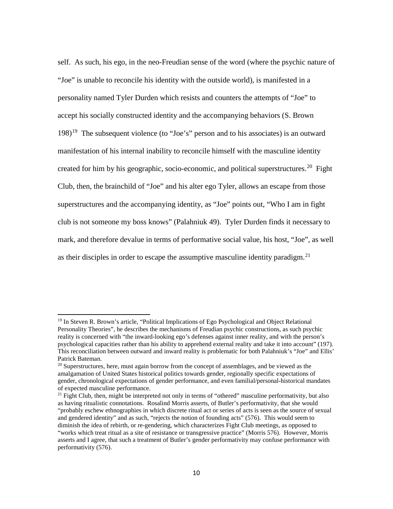self. As such, his ego, in the neo-Freudian sense of the word (where the psychic nature of "Joe" is unable to reconcile his identity with the outside world), is manifested in a personality named Tyler Durden which resists and counters the attempts of "Joe" to accept his socially constructed identity and the accompanying behaviors (S. Brown  $198$ <sup>19</sup> The subsequent violence (to "Joe's" person and to his associates) is an outward manifestation of his internal inability to reconcile himself with the masculine identity created for him by his geographic, socio-economic, and political superstructures.<sup>20</sup> Fight Club, then, the brainchild of "Joe" and his alter ego Tyler, allows an escape from those superstructures and the accompanying identity, as "Joe" points out, "Who I am in fight club is not someone my boss knows" (Palahniuk 49). Tyler Durden finds it necessary to mark, and therefore devalue in terms of performative social value, his host, "Joe", as well as their disciples in order to escape the assumptive masculine identity paradigm.<sup>[21](#page-14-2)</sup>

<span id="page-14-0"></span><sup>19</sup> In Steven R. Brown's article, "Political Implications of Ego Psychological and Object Relational Personality Theories", he describes the mechanisms of Freudian psychic constructions, as such psychic reality is concerned with "the inward-looking ego's defenses against inner reality, and with the person's psychological capacities rather than his ability to apprehend external reality and take it into account" (197). This reconciliation between outward and inward reality is problematic for both Palahniuk's "Joe" and Ellis' Patrick Bateman.

<span id="page-14-1"></span><sup>&</sup>lt;sup>20</sup> Superstructures, here, must again borrow from the concept of assemblages, and be viewed as the amalgamation of United States historical politics towards gender, regionally specific expectations of gender, chronological expectations of gender performance, and even familial/personal-historical mandates of expected masculine performance.

<span id="page-14-2"></span> $21$  Fight Club, then, might be interpreted not only in terms of "othered" masculine performativity, but also as having ritualistic connotations. Rosalind Morris asserts, of Butler's performativity, that she would "probably eschew ethnographies in which discrete ritual act or series of acts is seen as the source of sexual and gendered identity" and as such, "rejects the notion of founding acts" (576). This would seem to diminish the idea of rebirth, or re-gendering, which characterizes Fight Club meetings, as opposed to "works which treat ritual as a site of resistance or transgressive practice" (Morris 576). However, Morris asserts and I agree, that such a treatment of Butler's gender performativity may confuse performance with performativity (576).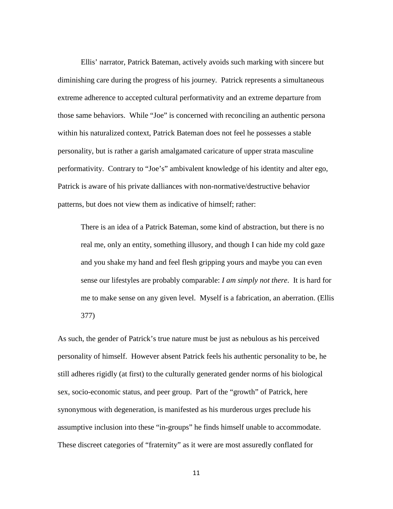Ellis' narrator, Patrick Bateman, actively avoids such marking with sincere but diminishing care during the progress of his journey. Patrick represents a simultaneous extreme adherence to accepted cultural performativity and an extreme departure from those same behaviors. While "Joe" is concerned with reconciling an authentic persona within his naturalized context, Patrick Bateman does not feel he possesses a stable personality, but is rather a garish amalgamated caricature of upper strata masculine performativity. Contrary to "Joe's" ambivalent knowledge of his identity and alter ego, Patrick is aware of his private dalliances with non-normative/destructive behavior patterns, but does not view them as indicative of himself; rather:

There is an idea of a Patrick Bateman, some kind of abstraction, but there is no real me, only an entity, something illusory, and though I can hide my cold gaze and you shake my hand and feel flesh gripping yours and maybe you can even sense our lifestyles are probably comparable: *I am simply not there*. It is hard for me to make sense on any given level. Myself is a fabrication, an aberration. (Ellis 377)

As such, the gender of Patrick's true nature must be just as nebulous as his perceived personality of himself. However absent Patrick feels his authentic personality to be, he still adheres rigidly (at first) to the culturally generated gender norms of his biological sex, socio-economic status, and peer group. Part of the "growth" of Patrick, here synonymous with degeneration, is manifested as his murderous urges preclude his assumptive inclusion into these "in-groups" he finds himself unable to accommodate. These discreet categories of "fraternity" as it were are most assuredly conflated for

11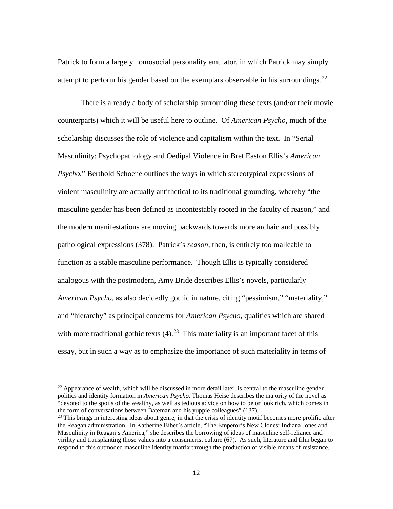Patrick to form a largely homosocial personality emulator, in which Patrick may simply attempt to perform his gender based on the exemplars observable in his surroundings.<sup>[22](#page-16-0)</sup>

There is already a body of scholarship surrounding these texts (and/or their movie counterparts) which it will be useful here to outline. Of *American Psycho*, much of the scholarship discusses the role of violence and capitalism within the text. In "Serial Masculinity: Psychopathology and Oedipal Violence in Bret Easton Ellis's *American Psycho*," Berthold Schoene outlines the ways in which stereotypical expressions of violent masculinity are actually antithetical to its traditional grounding, whereby "the masculine gender has been defined as incontestably rooted in the faculty of reason," and the modern manifestations are moving backwards towards more archaic and possibly pathological expressions (378). Patrick's *reason*, then, is entirely too malleable to function as a stable masculine performance. Though Ellis is typically considered analogous with the postmodern, Amy Bride describes Ellis's novels, particularly *American Psycho*, as also decidedly gothic in nature, citing "pessimism," "materiality," and "hierarchy" as principal concerns for *American Psycho*, qualities which are shared with more traditional gothic texts  $(4)$ .<sup>23</sup> This materiality is an important facet of this essay, but in such a way as to emphasize the importance of such materiality in terms of

<span id="page-16-0"></span> $22$  Appearance of wealth, which will be discussed in more detail later, is central to the masculine gender politics and identity formation in *American Psycho*. Thomas Heise describes the majority of the novel as "devoted to the spoils of the wealthy, as well as tedious advice on how to be or look rich, which comes in the form of conversations between Bateman and his yuppie colleagues" (137).

<span id="page-16-1"></span> $^{23}$  This brings in interesting ideas about genre, in that the crisis of identity motif becomes more prolific after the Reagan administration. In Katherine Biber's article, "The Emperor's New Clones: Indiana Jones and Masculinity in Reagan's America," she describes the borrowing of ideas of masculine self-reliance and virility and transplanting those values into a consumerist culture (67). As such, literature and film began to respond to this outmoded masculine identity matrix through the production of visible means of resistance.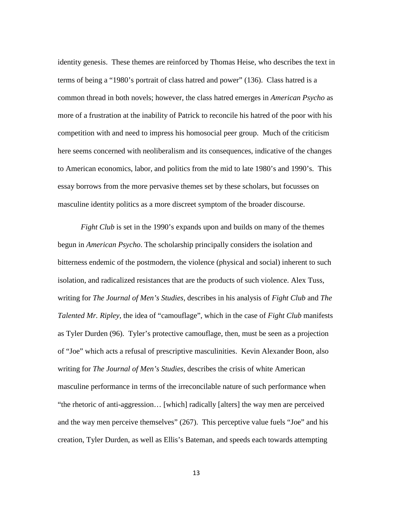identity genesis. These themes are reinforced by Thomas Heise, who describes the text in terms of being a "1980's portrait of class hatred and power" (136). Class hatred is a common thread in both novels; however, the class hatred emerges in *American Psycho* as more of a frustration at the inability of Patrick to reconcile his hatred of the poor with his competition with and need to impress his homosocial peer group. Much of the criticism here seems concerned with neoliberalism and its consequences, indicative of the changes to American economics, labor, and politics from the mid to late 1980's and 1990's. This essay borrows from the more pervasive themes set by these scholars, but focusses on masculine identity politics as a more discreet symptom of the broader discourse.

*Fight Club* is set in the 1990's expands upon and builds on many of the themes begun in *American Psycho*. The scholarship principally considers the isolation and bitterness endemic of the postmodern, the violence (physical and social) inherent to such isolation, and radicalized resistances that are the products of such violence. Alex Tuss, writing for *The Journal of Men's Studies*, describes in his analysis of *Fight Club* and *The Talented Mr. Ripley*, the idea of "camouflage", which in the case of *Fight Club* manifests as Tyler Durden (96). Tyler's protective camouflage, then, must be seen as a projection of "Joe" which acts a refusal of prescriptive masculinities. Kevin Alexander Boon, also writing for *The Journal of Men's Studies*, describes the crisis of white American masculine performance in terms of the irreconcilable nature of such performance when "the rhetoric of anti-aggression… [which] radically [alters] the way men are perceived and the way men perceive themselves" (267). This perceptive value fuels "Joe" and his creation, Tyler Durden, as well as Ellis's Bateman, and speeds each towards attempting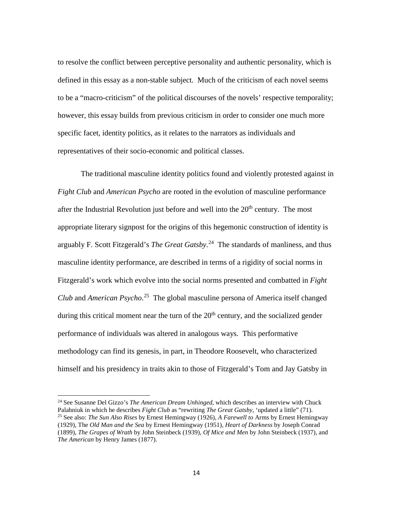to resolve the conflict between perceptive personality and authentic personality, which is defined in this essay as a non-stable subject. Much of the criticism of each novel seems to be a "macro-criticism" of the political discourses of the novels' respective temporality; however, this essay builds from previous criticism in order to consider one much more specific facet, identity politics, as it relates to the narrators as individuals and representatives of their socio-economic and political classes.

The traditional masculine identity politics found and violently protested against in *Fight Club* and *American Psycho* are rooted in the evolution of masculine performance after the Industrial Revolution just before and well into the  $20<sup>th</sup>$  century. The most appropriate literary signpost for the origins of this hegemonic construction of identity is arguably F. Scott Fitzgerald's *The Great Gatsby*. [24](#page-18-0) The standards of manliness, and thus masculine identity performance, are described in terms of a rigidity of social norms in Fitzgerald's work which evolve into the social norms presented and combatted in *Fight Club* and *American Psycho*. [25](#page-18-1) The global masculine persona of America itself changed during this critical moment near the turn of the  $20<sup>th</sup>$  century, and the socialized gender performance of individuals was altered in analogous ways. This performative methodology can find its genesis, in part, in Theodore Roosevelt, who characterized himself and his presidency in traits akin to those of Fitzgerald's Tom and Jay Gatsby in

<span id="page-18-1"></span><span id="page-18-0"></span><sup>24</sup> See Susanne Del Gizzo's *The American Dream Unhinged*, which describes an interview with Chuck Palahniuk in which he describes *Fight Club* as "rewriting *The Great Gatsby,* 'updated a little" (71). <sup>25</sup> See also: *The Sun Also Rises* by Ernest Hemingway (1926), *A Farewell to* Arms by Ernest Hemingway (1929), The *Old Man and the Sea* by Ernest Hemingway (1951), *Heart of Darkness* by Joseph Conrad (1899), *The Grapes of Wrath* by John Steinbeck (1939), *Of Mice and Men* by John Steinbeck (1937), and *The American* by Henry James (1877).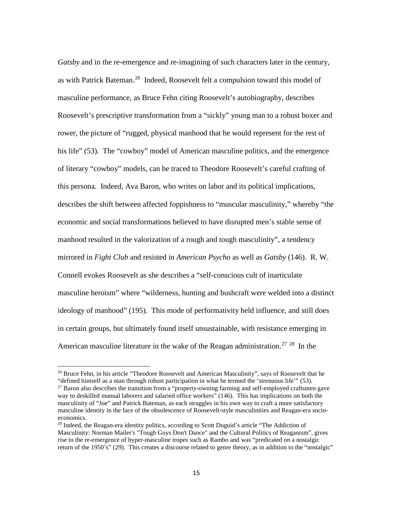*Gatsby* and in the re-emergence and re-imagining of such characters later in the century, as with Patrick Bateman.<sup>26</sup> Indeed, Roosevelt felt a compulsion toward this model of masculine performance, as Bruce Fehn citing Roosevelt's autobiography, describes Roosevelt's prescriptive transformation from a "sickly" young man to a robust boxer and rower, the picture of "rugged, physical manhood that he would represent for the rest of his life" (53). The "cowboy" model of American masculine politics, and the emergence of literary "cowboy" models, can be traced to Theodore Roosevelt's careful crafting of this persona. Indeed, Ava Baron, who writes on labor and its political implications, describes the shift between affected foppishness to "muscular masculinity," whereby "the economic and social transformations believed to have disrupted men's stable sense of manhood resulted in the valorization of a rough and tough masculinity", a tendency mirrored in *Fight Club* and resisted in *American Psycho* as well as *Gatsby* (146). R. W. Connell evokes Roosevelt as she describes a "self-conscious cult of inarticulate masculine heroism" where "wilderness, hunting and bushcraft were welded into a distinct ideology of manhood" (195). This mode of performativity held influence, and still does in certain groups, but ultimately found itself unsustainable, with resistance emerging in American masculine literature in the wake of the Reagan administration.<sup>[27](#page-19-1)</sup> <sup>28</sup> In the

<span id="page-19-0"></span><sup>&</sup>lt;sup>26</sup> Bruce Fehn, in his article "Theodore Roosevelt and American Masculinity", says of Roosevelt that he "defined himself as a man through robust participation in what he termed the 'strenuous life'" (53).

<span id="page-19-1"></span><sup>&</sup>lt;sup>27</sup> Baron also describes the transition from a "property-owning farming and self-employed craftsmen gave way to deskilled manual laborers and salaried office workers" (146). This has implications on both the masculinity of "Joe" and Patrick Bateman, as each struggles in his own way to craft a more satisfactory masculine identity in the face of the obsolescence of Roosevelt-style masculinities and Reagan-era socioeconomics.

<span id="page-19-2"></span><sup>&</sup>lt;sup>28</sup> Indeed, the Reagan-era identity politics, according to Scott Duguid's article "The Addiction of Masculinity: Norman Mailer's "Tough Guys Don't Dance" and the Cultural Politics of Reaganism", gives rise to the re-emergence of hyper-masculine tropes such as Rambo and was "predicated on a nostalgic return of the 1950's" (29). This creates a discourse related to genre theory, as in addition to the "nostalgic"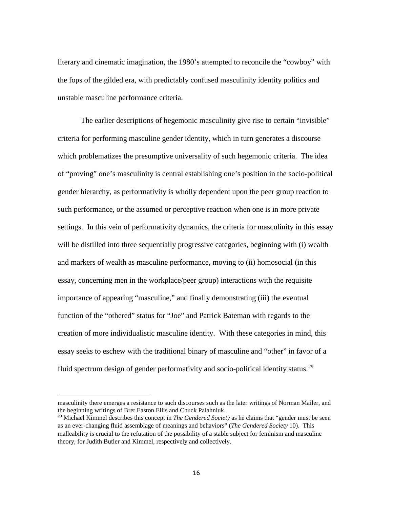literary and cinematic imagination, the 1980's attempted to reconcile the "cowboy" with the fops of the gilded era, with predictably confused masculinity identity politics and unstable masculine performance criteria.

The earlier descriptions of hegemonic masculinity give rise to certain "invisible" criteria for performing masculine gender identity, which in turn generates a discourse which problematizes the presumptive universality of such hegemonic criteria. The idea of "proving" one's masculinity is central establishing one's position in the socio-political gender hierarchy, as performativity is wholly dependent upon the peer group reaction to such performance, or the assumed or perceptive reaction when one is in more private settings. In this vein of performativity dynamics, the criteria for masculinity in this essay will be distilled into three sequentially progressive categories, beginning with (i) wealth and markers of wealth as masculine performance, moving to (ii) homosocial (in this essay, concerning men in the workplace/peer group) interactions with the requisite importance of appearing "masculine," and finally demonstrating (iii) the eventual function of the "othered" status for "Joe" and Patrick Bateman with regards to the creation of more individualistic masculine identity. With these categories in mind, this essay seeks to eschew with the traditional binary of masculine and "other" in favor of a fluid spectrum design of gender performativity and socio-political identity status.<sup>29</sup>

masculinity there emerges a resistance to such discourses such as the later writings of Norman Mailer, and the beginning writings of Bret Easton Ellis and Chuck Palahniuk.

<span id="page-20-0"></span><sup>29</sup> Michael Kimmel describes this concept in *The Gendered Society* as he claims that "gender must be seen as an ever-changing fluid assemblage of meanings and behaviors" (*The Gendered Society* 10). This malleability is crucial to the refutation of the possibility of a stable subject for feminism and masculine theory, for Judith Butler and Kimmel, respectively and collectively.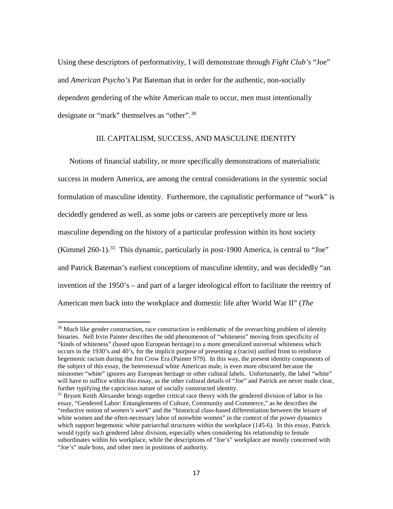Using these descriptors of performativity, I will demonstrate through *Fight Club's* "Joe" and *American Psycho's* Pat Bateman that in order for the authentic, non-socially dependent gendering of the white American male to occur, men must intentionally designate or "mark" themselves as "other".<sup>[30](#page-21-0)</sup>

#### III. CAPITALISM, SUCCESS, AND MASCULINE IDENTITY

Notions of financial stability, or more specifically demonstrations of materialistic success in modern America, are among the central considerations in the systemic social formulation of masculine identity. Furthermore, the capitalistic performance of "work" is decidedly gendered as well, as some jobs or careers are perceptively more or less masculine depending on the history of a particular profession within its host society (Kimmel 260-1).<sup>[31](#page-21-1)</sup> This dynamic, particularly in post-1900 America, is central to "Joe" and Patrick Bateman's earliest conceptions of masculine identity, and was decidedly "an invention of the 1950's – and part of a larger ideological effort to facilitate the reentry of American men back into the workplace and domestic life after World War II" (*The* 

<span id="page-21-0"></span> $30$  Much like gender construction, race construction is emblematic of the overarching problem of identity binaries. Nell Irvin Painter describes the odd phenomenon of "whiteness" moving from specificity of "kinds of whiteness" (based upon European heritage) to a more generalized universal whiteness which occurs in the 1930's and 40's, for the implicit purpose of presenting a (racist) unified front to reinforce hegemonic racism during the Jim Crow Era (Painter 979). In this way, the present identity components of the subject of this essay, the heterosexual white American male, is even more obscured because the misnomer "white" ignores any European heritage or other cultural labels. Unfortunately, the label "white" will have to suffice within this essay, as the other cultural details of "Joe" and Patrick are never made clear, further typifying the capricious nature of socially constructed identity.

<span id="page-21-1"></span> $31$  Bryant Keith Alexander brings together critical race theory with the gendered division of labor in his essay, "Gendered Labor: Entanglements of Culture, Community and Commerce," as he describes the "reductive notion of *women's work*" and the "historical class-based differentiation between the leisure of white women and the often-necessary labor of nonwhite women" in the context of the power dynamics which support hegemonic white patriarchal structures within the workplace (145-6). In this essay, Patrick would typify such gendered labor division, especially when considering his relationship to female subordinates within his workplace, while the descriptions of "Joe's" workplace are mostly concerned with "Joe's" male boss, and other men in positions of authority.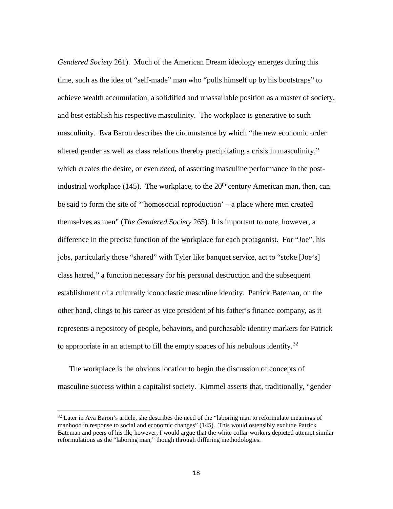*Gendered Society* 261). Much of the American Dream ideology emerges during this time, such as the idea of "self-made" man who "pulls himself up by his bootstraps" to achieve wealth accumulation, a solidified and unassailable position as a master of society, and best establish his respective masculinity. The workplace is generative to such masculinity. Eva Baron describes the circumstance by which "the new economic order altered gender as well as class relations thereby precipitating a crisis in masculinity," which creates the desire, or even *need*, of asserting masculine performance in the postindustrial workplace (145). The workplace, to the  $20<sup>th</sup>$  century American man, then, can be said to form the site of "'homosocial reproduction' – a place where men created themselves as men" (*The Gendered Society* 265). It is important to note, however, a difference in the precise function of the workplace for each protagonist. For "Joe", his jobs, particularly those "shared" with Tyler like banquet service, act to "stoke [Joe's] class hatred," a function necessary for his personal destruction and the subsequent establishment of a culturally iconoclastic masculine identity. Patrick Bateman, on the other hand, clings to his career as vice president of his father's finance company, as it represents a repository of people, behaviors, and purchasable identity markers for Patrick to appropriate in an attempt to fill the empty spaces of his nebulous identity.<sup>[32](#page-22-0)</sup>

The workplace is the obvious location to begin the discussion of concepts of masculine success within a capitalist society. Kimmel asserts that, traditionally, "gender

<span id="page-22-0"></span> $32$  Later in Ava Baron's article, she describes the need of the "laboring man to reformulate meanings of manhood in response to social and economic changes" (145). This would ostensibly exclude Patrick Bateman and peers of his ilk; however, I would argue that the white collar workers depicted attempt similar reformulations as the "laboring man," though through differing methodologies.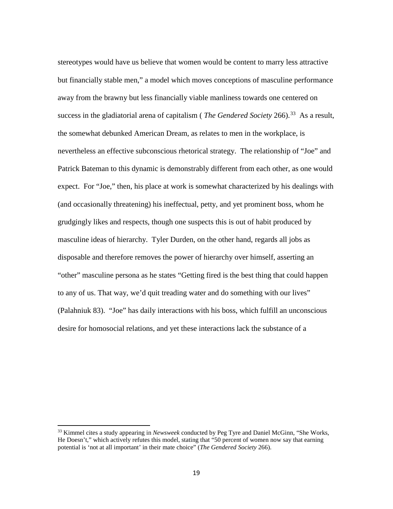stereotypes would have us believe that women would be content to marry less attractive but financially stable men," a model which moves conceptions of masculine performance away from the brawny but less financially viable manliness towards one centered on success in the gladiatorial arena of capitalism ( *The Gendered Society* 266). [33](#page-23-0) As a result, the somewhat debunked American Dream, as relates to men in the workplace, is nevertheless an effective subconscious rhetorical strategy. The relationship of "Joe" and Patrick Bateman to this dynamic is demonstrably different from each other, as one would expect. For "Joe," then, his place at work is somewhat characterized by his dealings with (and occasionally threatening) his ineffectual, petty, and yet prominent boss, whom he grudgingly likes and respects, though one suspects this is out of habit produced by masculine ideas of hierarchy. Tyler Durden, on the other hand, regards all jobs as disposable and therefore removes the power of hierarchy over himself, asserting an "other" masculine persona as he states "Getting fired is the best thing that could happen to any of us. That way, we'd quit treading water and do something with our lives" (Palahniuk 83). "Joe" has daily interactions with his boss, which fulfill an unconscious desire for homosocial relations, and yet these interactions lack the substance of a

<span id="page-23-0"></span><sup>33</sup> Kimmel cites a study appearing in *Newsweek* conducted by Peg Tyre and Daniel McGinn, "She Works, He Doesn't," which actively refutes this model, stating that "50 percent of women now say that earning potential is 'not at all important' in their mate choice" (*The Gendered Society* 266).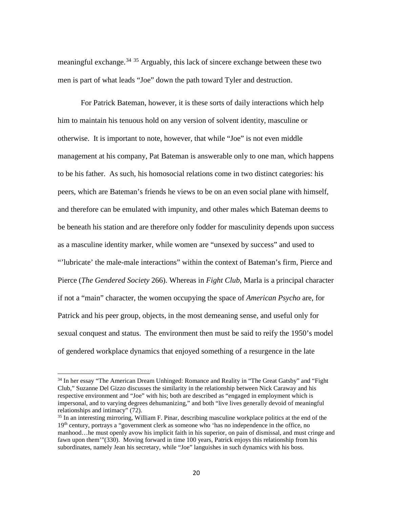meaningful exchange.<sup>[34](#page-24-0) [35](#page-24-1)</sup> Arguably, this lack of sincere exchange between these two men is part of what leads "Joe" down the path toward Tyler and destruction.

For Patrick Bateman, however, it is these sorts of daily interactions which help him to maintain his tenuous hold on any version of solvent identity, masculine or otherwise. It is important to note, however, that while "Joe" is not even middle management at his company, Pat Bateman is answerable only to one man, which happens to be his father. As such, his homosocial relations come in two distinct categories: his peers, which are Bateman's friends he views to be on an even social plane with himself, and therefore can be emulated with impunity, and other males which Bateman deems to be beneath his station and are therefore only fodder for masculinity depends upon success as a masculine identity marker, while women are "unsexed by success" and used to "'lubricate' the male-male interactions" within the context of Bateman's firm, Pierce and Pierce (*The Gendered Society* 266). Whereas in *Fight Club*, Marla is a principal character if not a "main" character, the women occupying the space of *American Psycho* are, for Patrick and his peer group, objects, in the most demeaning sense, and useful only for sexual conquest and status. The environment then must be said to reify the 1950's model of gendered workplace dynamics that enjoyed something of a resurgence in the late

<span id="page-24-0"></span><sup>&</sup>lt;sup>34</sup> In her essay "The American Dream Unhinged: Romance and Reality in "The Great Gatsby" and "Fight Club," Suzanne Del Gizzo discusses the similarity in the relationship between Nick Caraway and his respective environment and "Joe" with his; both are described as "engaged in employment which is impersonal, and to varying degrees dehumanizing," and both "live lives generally devoid of meaningful relationships and intimacy" (72).

<span id="page-24-1"></span> $35$  In an interesting mirroring, William F. Pinar, describing masculine workplace politics at the end of the 19th century, portrays a "government clerk as someone who 'has no independence in the office, no manhood…he must openly avow his implicit faith in his superior, on pain of dismissal, and must cringe and fawn upon them'"(330). Moving forward in time 100 years, Patrick enjoys this relationship from his subordinates, namely Jean his secretary, while "Joe" languishes in such dynamics with his boss.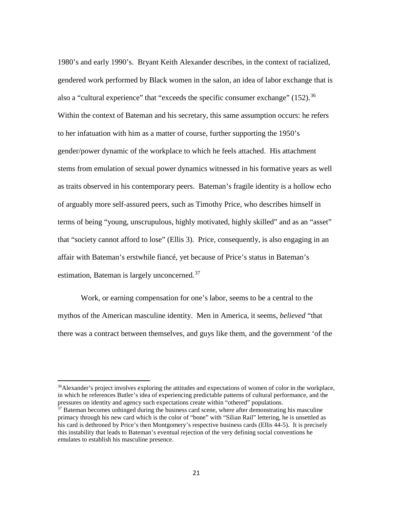1980's and early 1990's. Bryant Keith Alexander describes, in the context of racialized, gendered work performed by Black women in the salon, an idea of labor exchange that is also a "cultural experience" that "exceeds the specific consumer exchange"  $(152)$ .<sup>[36](#page-25-0)</sup> Within the context of Bateman and his secretary, this same assumption occurs: he refers to her infatuation with him as a matter of course, further supporting the 1950's gender/power dynamic of the workplace to which he feels attached. His attachment stems from emulation of sexual power dynamics witnessed in his formative years as well as traits observed in his contemporary peers. Bateman's fragile identity is a hollow echo of arguably more self-assured peers, such as Timothy Price, who describes himself in terms of being "young, unscrupulous, highly motivated, highly skilled" and as an "asset" that "society cannot afford to lose" (Ellis 3). Price, consequently, is also engaging in an affair with Bateman's erstwhile fiancé, yet because of Price's status in Bateman's estimation, Bateman is largely unconcerned.<sup>[37](#page-25-1)</sup>

Work, or earning compensation for one's labor, seems to be a central to the mythos of the American masculine identity. Men in America, it seems, *believed* "that there was a contract between themselves, and guys like them, and the government 'of the

<span id="page-25-0"></span><sup>&</sup>lt;sup>36</sup>Alexander's project involves exploring the attitudes and expectations of women of color in the workplace, in which he references Butler's idea of experiencing predictable patterns of cultural performance, and the pressures on identity and agency such expectations create within "othered" populations.

<span id="page-25-1"></span> $37$  Bateman becomes unhinged during the business card scene, where after demonstrating his masculine primacy through his new card which is the color of "bone" with "Silian Rail" lettering, he is unsettled as his card is dethroned by Price's then Montgomery's respective business cards (Ellis 44-5). It is precisely this instability that leads to Bateman's eventual rejection of the very defining social conventions he emulates to establish his masculine presence.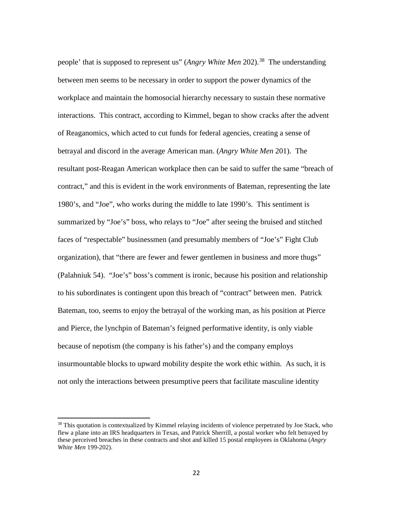people' that is supposed to represent us" (*Angry White Men* 202).<sup>[38](#page-26-0)</sup> The understanding between men seems to be necessary in order to support the power dynamics of the workplace and maintain the homosocial hierarchy necessary to sustain these normative interactions. This contract, according to Kimmel, began to show cracks after the advent of Reaganomics, which acted to cut funds for federal agencies, creating a sense of betrayal and discord in the average American man. (*Angry White Men* 201). The resultant post-Reagan American workplace then can be said to suffer the same "breach of contract," and this is evident in the work environments of Bateman, representing the late 1980's, and "Joe", who works during the middle to late 1990's. This sentiment is summarized by "Joe's" boss, who relays to "Joe" after seeing the bruised and stitched faces of "respectable" businessmen (and presumably members of "Joe's" Fight Club organization), that "there are fewer and fewer gentlemen in business and more thugs" (Palahniuk 54). "Joe's" boss's comment is ironic, because his position and relationship to his subordinates is contingent upon this breach of "contract" between men. Patrick Bateman, too, seems to enjoy the betrayal of the working man, as his position at Pierce and Pierce, the lynchpin of Bateman's feigned performative identity, is only viable because of nepotism (the company is his father's) and the company employs insurmountable blocks to upward mobility despite the work ethic within. As such, it is not only the interactions between presumptive peers that facilitate masculine identity

<span id="page-26-0"></span><sup>&</sup>lt;sup>38</sup> This quotation is contextualized by Kimmel relaying incidents of violence perpetrated by Joe Stack, who flew a plane into an IRS headquarters in Texas, and Patrick Sherrill, a postal worker who felt betrayed by these perceived breaches in these contracts and shot and killed 15 postal employees in Oklahoma (*Angry White Men* 199-202).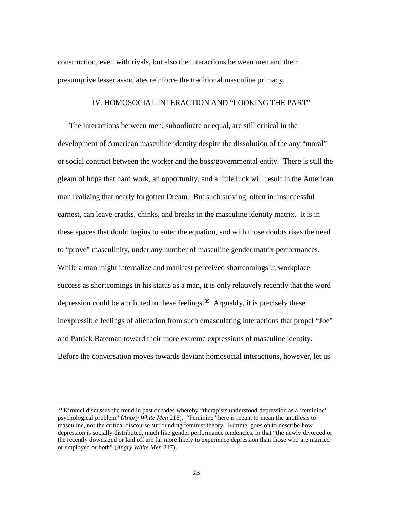construction, even with rivals, but also the interactions between men and their presumptive lesser associates reinforce the traditional masculine primacy.

#### IV. HOMOSOCIAL INTERACTION AND "LOOKING THE PART"

The interactions between men, subordinate or equal, are still critical in the development of American masculine identity despite the dissolution of the any "moral" or social contract between the worker and the boss/governmental entity. There is still the gleam of hope that hard work, an opportunity, and a little luck will result in the American man realizing that nearly forgotten Dream. But such striving, often in unsuccessful earnest, can leave cracks, chinks, and breaks in the masculine identity matrix. It is in these spaces that doubt begins to enter the equation, and with those doubts rises the need to "prove" masculinity, under any number of masculine gender matrix performances. While a man might internalize and manifest perceived shortcomings in workplace success as shortcomings in his status as a man, it is only relatively recently that the word depression could be attributed to these feelings.<sup>39</sup> Arguably, it is precisely these inexpressible feelings of alienation from such emasculating interactions that propel "Joe" and Patrick Bateman toward their more extreme expressions of masculine identity. Before the conversation moves towards deviant homosocial interactions, however, let us

<span id="page-27-0"></span> $39$  Kimmel discusses the trend in past decades whereby "therapists understood depression as a 'feminine' psychological problem" (*Angry White Men* 216). "Feminine" here is meant to mean the antithesis to masculine, not the critical discourse surrounding feminist theory. Kimmel goes on to describe how depression is socially distributed, much like gender performance tendencies, in that "the newly divorced or the recently downsized or laid off are far more likely to experience depression than those who are married or employed or both" (*Angry White Men* 217).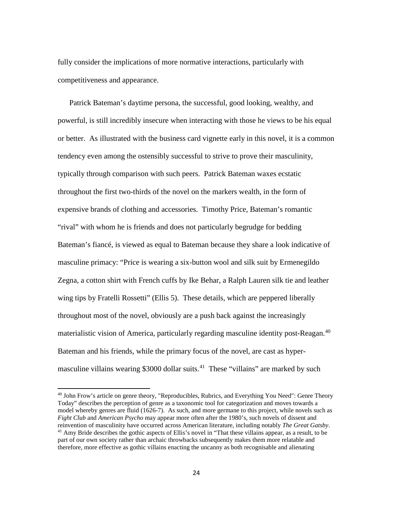fully consider the implications of more normative interactions, particularly with competitiveness and appearance.

Patrick Bateman's daytime persona, the successful, good looking, wealthy, and powerful, is still incredibly insecure when interacting with those he views to be his equal or better. As illustrated with the business card vignette early in this novel, it is a common tendency even among the ostensibly successful to strive to prove their masculinity, typically through comparison with such peers. Patrick Bateman waxes ecstatic throughout the first two-thirds of the novel on the markers wealth, in the form of expensive brands of clothing and accessories. Timothy Price, Bateman's romantic "rival" with whom he is friends and does not particularly begrudge for bedding Bateman's fiancé, is viewed as equal to Bateman because they share a look indicative of masculine primacy: "Price is wearing a six-button wool and silk suit by Ermenegildo Zegna, a cotton shirt with French cuffs by Ike Behar, a Ralph Lauren silk tie and leather wing tips by Fratelli Rossetti" (Ellis 5). These details, which are peppered liberally throughout most of the novel, obviously are a push back against the increasingly materialistic vision of America, particularly regarding masculine identity post-Reagan. [40](#page-28-0) Bateman and his friends, while the primary focus of the novel, are cast as hyper-masculine villains wearing \$3000 dollar suits.<sup>[41](#page-28-1)</sup> These "villains" are marked by such

<span id="page-28-1"></span><span id="page-28-0"></span><sup>40</sup> John Frow's article on genre theory, "Reproducibles, Rubrics, and Everything You Need": Genre Theory Today" describes the perception of genre as a taxonomic tool for categorization and moves towards a model whereby genres are fluid (1626-7). As such, and more germane to this project, while novels such as *Fight Club* and *American Psycho* may appear more often after the 1980's, such novels of dissent and reinvention of masculinity have occurred across American literature, including notably *The Great Gatsby*.  $41$  Amy Bride describes the gothic aspects of Ellis's novel in "That these villains appear, as a result, to be part of our own society rather than archaic throwbacks subsequently makes them more relatable and therefore, more effective as gothic villains enacting the uncanny as both recognisable and alienating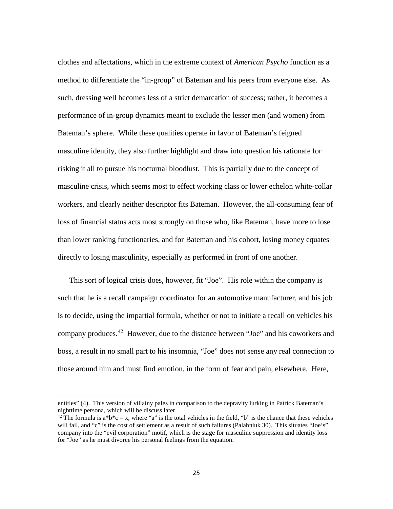clothes and affectations, which in the extreme context of *American Psycho* function as a method to differentiate the "in-group" of Bateman and his peers from everyone else. As such, dressing well becomes less of a strict demarcation of success; rather, it becomes a performance of in-group dynamics meant to exclude the lesser men (and women) from Bateman's sphere. While these qualities operate in favor of Bateman's feigned masculine identity, they also further highlight and draw into question his rationale for risking it all to pursue his nocturnal bloodlust. This is partially due to the concept of masculine crisis, which seems most to effect working class or lower echelon white-collar workers, and clearly neither descriptor fits Bateman. However, the all-consuming fear of loss of financial status acts most strongly on those who, like Bateman, have more to lose than lower ranking functionaries, and for Bateman and his cohort, losing money equates directly to losing masculinity, especially as performed in front of one another.

This sort of logical crisis does, however, fit "Joe". His role within the company is such that he is a recall campaign coordinator for an automotive manufacturer, and his job is to decide, using the impartial formula, whether or not to initiate a recall on vehicles his company produces. [42](#page-29-0) However, due to the distance between "Joe" and his coworkers and boss, a result in no small part to his insomnia, "Joe" does not sense any real connection to those around him and must find emotion, in the form of fear and pain, elsewhere. Here,

entities" (4). This version of villainy pales in comparison to the depravity lurking in Patrick Bateman's nighttime persona, which will be discuss later.

<span id="page-29-0"></span><sup>&</sup>lt;sup>42</sup> The formula is a\*b\*c = x, where "a" is the total vehicles in the field, "b" is the chance that these vehicles will fail, and "c" is the cost of settlement as a result of such failures (Palahniuk 30). This situates "Joe's" company into the "evil corporation" motif, which is the stage for masculine suppression and identity loss for "Joe" as he must divorce his personal feelings from the equation.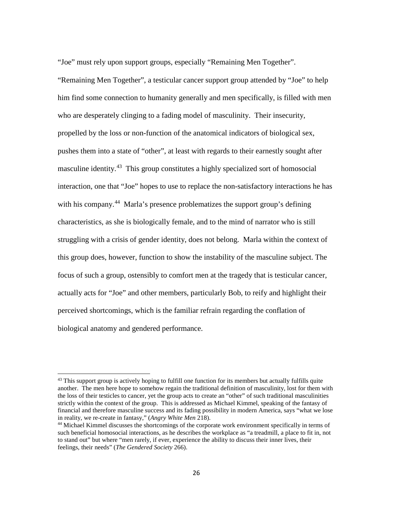"Joe" must rely upon support groups, especially "Remaining Men Together".

"Remaining Men Together", a testicular cancer support group attended by "Joe" to help him find some connection to humanity generally and men specifically, is filled with men who are desperately clinging to a fading model of masculinity. Their insecurity, propelled by the loss or non-function of the anatomical indicators of biological sex, pushes them into a state of "other", at least with regards to their earnestly sought after masculine identity.<sup>43</sup> This group constitutes a highly specialized sort of homosocial interaction, one that "Joe" hopes to use to replace the non-satisfactory interactions he has with his company.<sup>44</sup> Marla's presence problematizes the support group's defining characteristics, as she is biologically female, and to the mind of narrator who is still struggling with a crisis of gender identity, does not belong. Marla within the context of this group does, however, function to show the instability of the masculine subject. The focus of such a group, ostensibly to comfort men at the tragedy that is testicular cancer, actually acts for "Joe" and other members, particularly Bob, to reify and highlight their perceived shortcomings, which is the familiar refrain regarding the conflation of biological anatomy and gendered performance.

<span id="page-30-0"></span><sup>&</sup>lt;sup>43</sup> This support group is actively hoping to fulfill one function for its members but actually fulfills quite another. The men here hope to somehow regain the traditional definition of masculinity, lost for them with the loss of their testicles to cancer, yet the group acts to create an "other" of such traditional masculinities strictly within the context of the group. This is addressed as Michael Kimmel, speaking of the fantasy of financial and therefore masculine success and its fading possibility in modern America, says "what we lose in reality, we re-create in fantasy," (*Angry White Men* 218).

<span id="page-30-1"></span><sup>&</sup>lt;sup>44</sup> Michael Kimmel discusses the shortcomings of the corporate work environment specifically in terms of such beneficial homosocial interactions, as he describes the workplace as "a treadmill, a place to fit in, not to stand out" but where "men rarely, if ever, experience the ability to discuss their inner lives, their feelings, their needs" (*The Gendered Society* 266).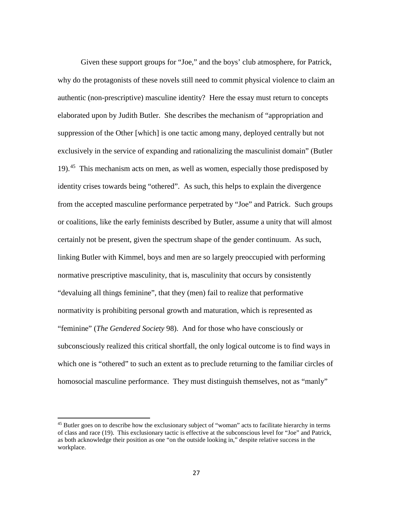Given these support groups for "Joe," and the boys' club atmosphere, for Patrick, why do the protagonists of these novels still need to commit physical violence to claim an authentic (non-prescriptive) masculine identity? Here the essay must return to concepts elaborated upon by Judith Butler. She describes the mechanism of "appropriation and suppression of the Other [which] is one tactic among many, deployed centrally but not exclusively in the service of expanding and rationalizing the masculinist domain" (Butler 19).[45](#page-31-0) This mechanism acts on men, as well as women, especially those predisposed by identity crises towards being "othered". As such, this helps to explain the divergence from the accepted masculine performance perpetrated by "Joe" and Patrick. Such groups or coalitions, like the early feminists described by Butler, assume a unity that will almost certainly not be present, given the spectrum shape of the gender continuum. As such, linking Butler with Kimmel, boys and men are so largely preoccupied with performing normative prescriptive masculinity, that is, masculinity that occurs by consistently "devaluing all things feminine", that they (men) fail to realize that performative normativity is prohibiting personal growth and maturation, which is represented as "feminine" (*The Gendered Society* 98). And for those who have consciously or subconsciously realized this critical shortfall, the only logical outcome is to find ways in which one is "othered" to such an extent as to preclude returning to the familiar circles of homosocial masculine performance. They must distinguish themselves, not as "manly"

<span id="page-31-0"></span><sup>&</sup>lt;sup>45</sup> Butler goes on to describe how the exclusionary subject of "woman" acts to facilitate hierarchy in terms of class and race (19). This exclusionary tactic is effective at the subconscious level for "Joe" and Patrick, as both acknowledge their position as one "on the outside looking in," despite relative success in the workplace.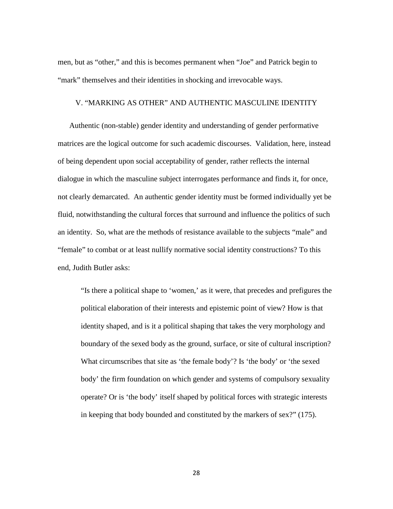men, but as "other," and this is becomes permanent when "Joe" and Patrick begin to "mark" themselves and their identities in shocking and irrevocable ways.

#### V. "MARKING AS OTHER" AND AUTHENTIC MASCULINE IDENTITY

Authentic (non-stable) gender identity and understanding of gender performative matrices are the logical outcome for such academic discourses. Validation, here, instead of being dependent upon social acceptability of gender, rather reflects the internal dialogue in which the masculine subject interrogates performance and finds it, for once, not clearly demarcated. An authentic gender identity must be formed individually yet be fluid, notwithstanding the cultural forces that surround and influence the politics of such an identity. So, what are the methods of resistance available to the subjects "male" and "female" to combat or at least nullify normative social identity constructions? To this end, Judith Butler asks:

"Is there a political shape to 'women,' as it were, that precedes and prefigures the political elaboration of their interests and epistemic point of view? How is that identity shaped, and is it a political shaping that takes the very morphology and boundary of the sexed body as the ground, surface, or site of cultural inscription? What circumscribes that site as 'the female body'? Is 'the body' or 'the sexed body' the firm foundation on which gender and systems of compulsory sexuality operate? Or is 'the body' itself shaped by political forces with strategic interests in keeping that body bounded and constituted by the markers of sex?" (175).

28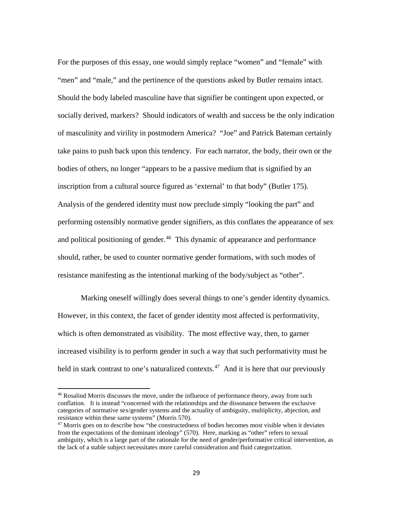For the purposes of this essay, one would simply replace "women" and "female" with "men" and "male," and the pertinence of the questions asked by Butler remains intact. Should the body labeled masculine have that signifier be contingent upon expected, or socially derived, markers? Should indicators of wealth and success be the only indication of masculinity and virility in postmodern America? "Joe" and Patrick Bateman certainly take pains to push back upon this tendency. For each narrator, the body, their own or the bodies of others, no longer "appears to be a passive medium that is signified by an inscription from a cultural source figured as 'external' to that body" (Butler 175). Analysis of the gendered identity must now preclude simply "looking the part" and performing ostensibly normative gender signifiers, as this conflates the appearance of sex and political positioning of gender.<sup>[46](#page-33-0)</sup> This dynamic of appearance and performance should, rather, be used to counter normative gender formations, with such modes of resistance manifesting as the intentional marking of the body/subject as "other".

Marking oneself willingly does several things to one's gender identity dynamics. However, in this context, the facet of gender identity most affected is performativity, which is often demonstrated as visibility. The most effective way, then, to garner increased visibility is to perform gender in such a way that such performativity must be held in stark contrast to one's naturalized contexts.<sup>47</sup> And it is here that our previously

<span id="page-33-0"></span><sup>&</sup>lt;sup>46</sup> Rosalind Morris discusses the move, under the influence of performance theory, away from such conflation. It is instead "concerned with the relationships and the dissonance between the exclusive categories of normative sex/gender systems and the actuality of ambiguity, multiplicity, abjection, and resistance within these same systems" (Morris 570).

<span id="page-33-1"></span><sup>&</sup>lt;sup>47</sup> Morris goes on to describe how "the constructedness of bodies becomes most visible when it deviates from the expectations of the dominant ideology" (570). Here, marking as "other" refers to sexual ambiguity, which is a large part of the rationale for the need of gender/performative critical intervention, as the lack of a stable subject necessitates more careful consideration and fluid categorization.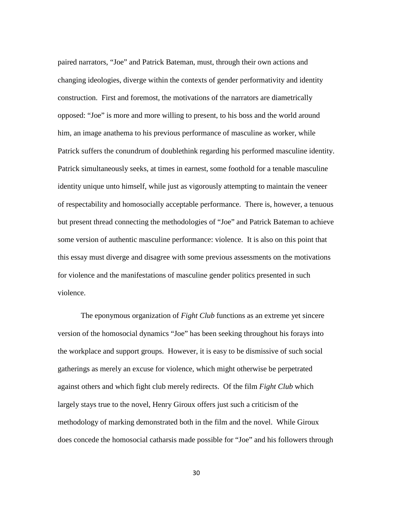paired narrators, "Joe" and Patrick Bateman, must, through their own actions and changing ideologies, diverge within the contexts of gender performativity and identity construction. First and foremost, the motivations of the narrators are diametrically opposed: "Joe" is more and more willing to present, to his boss and the world around him, an image anathema to his previous performance of masculine as worker, while Patrick suffers the conundrum of doublethink regarding his performed masculine identity. Patrick simultaneously seeks, at times in earnest, some foothold for a tenable masculine identity unique unto himself, while just as vigorously attempting to maintain the veneer of respectability and homosocially acceptable performance. There is, however, a tenuous but present thread connecting the methodologies of "Joe" and Patrick Bateman to achieve some version of authentic masculine performance: violence. It is also on this point that this essay must diverge and disagree with some previous assessments on the motivations for violence and the manifestations of masculine gender politics presented in such violence.

The eponymous organization of *Fight Club* functions as an extreme yet sincere version of the homosocial dynamics "Joe" has been seeking throughout his forays into the workplace and support groups. However, it is easy to be dismissive of such social gatherings as merely an excuse for violence, which might otherwise be perpetrated against others and which fight club merely redirects. Of the film *Fight Club* which largely stays true to the novel, Henry Giroux offers just such a criticism of the methodology of marking demonstrated both in the film and the novel. While Giroux does concede the homosocial catharsis made possible for "Joe" and his followers through

30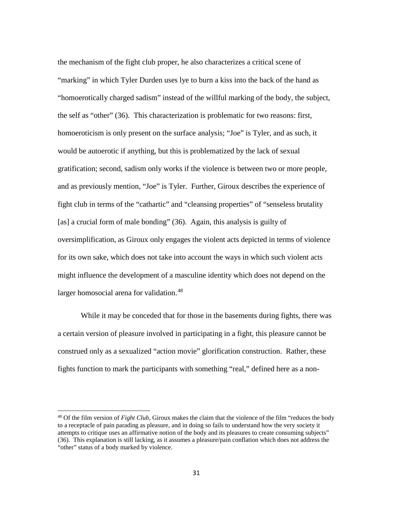the mechanism of the fight club proper, he also characterizes a critical scene of "marking" in which Tyler Durden uses lye to burn a kiss into the back of the hand as "homoerotically charged sadism" instead of the willful marking of the body, the subject, the self as "other" (36). This characterization is problematic for two reasons: first, homoeroticism is only present on the surface analysis; "Joe" is Tyler, and as such, it would be autoerotic if anything, but this is problematized by the lack of sexual gratification; second, sadism only works if the violence is between two or more people, and as previously mention, "Joe" is Tyler. Further, Giroux describes the experience of fight club in terms of the "cathartic" and "cleansing properties" of "senseless brutality [as] a crucial form of male bonding" (36). Again, this analysis is guilty of oversimplification, as Giroux only engages the violent acts depicted in terms of violence for its own sake, which does not take into account the ways in which such violent acts might influence the development of a masculine identity which does not depend on the larger homosocial arena for validation.<sup>[48](#page-35-0)</sup>

While it may be conceded that for those in the basements during fights, there was a certain version of pleasure involved in participating in a fight, this pleasure cannot be construed only as a sexualized "action movie" glorification construction. Rather, these fights function to mark the participants with something "real," defined here as a non-

<span id="page-35-0"></span><sup>48</sup> Of the film version of *Fight Club*, Giroux makes the claim that the violence of the film "reduces the body to a receptacle of pain parading as pleasure, and in doing so fails to understand how the very society it attempts to critique uses an affirmative notion of the body and its pleasures to create consuming subjects" (36). This explanation is still lacking, as it assumes a pleasure/pain conflation which does not address the "other" status of a body marked by violence.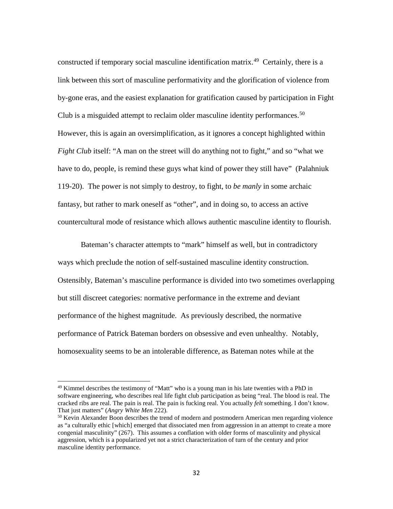constructed if temporary social masculine identification matrix.<sup>49</sup> Certainly, there is a link between this sort of masculine performativity and the glorification of violence from by-gone eras, and the easiest explanation for gratification caused by participation in Fight Club is a misguided attempt to reclaim older masculine identity performances.<sup>50</sup> However, this is again an oversimplification, as it ignores a concept highlighted within *Fight Club* itself: "A man on the street will do anything not to fight," and so "what we have to do, people, is remind these guys what kind of power they still have" (Palahniuk 119-20). The power is not simply to destroy, to fight, to *be manly* in some archaic fantasy, but rather to mark oneself as "other", and in doing so, to access an active countercultural mode of resistance which allows authentic masculine identity to flourish.

Bateman's character attempts to "mark" himself as well, but in contradictory ways which preclude the notion of self-sustained masculine identity construction. Ostensibly, Bateman's masculine performance is divided into two sometimes overlapping but still discreet categories: normative performance in the extreme and deviant performance of the highest magnitude. As previously described, the normative performance of Patrick Bateman borders on obsessive and even unhealthy. Notably, homosexuality seems to be an intolerable difference, as Bateman notes while at the

<span id="page-36-0"></span> $49$  Kimmel describes the testimony of "Matt" who is a young man in his late twenties with a PhD in software engineering, who describes real life fight club participation as being "real. The blood is real. The cracked ribs are real. The pain is real. The pain is fucking real. You actually *felt* something. I don't know. That just matters" (*Angry White Men* 222).

<span id="page-36-1"></span> $50$  Kevin Alexander Boon describes the trend of modern and postmodern American men regarding violence as "a culturally ethic [which] emerged that dissociated men from aggression in an attempt to create a more congenial masculinity" (267). This assumes a conflation with older forms of masculinity and physical aggression, which is a popularized yet not a strict characterization of turn of the century and prior masculine identity performance.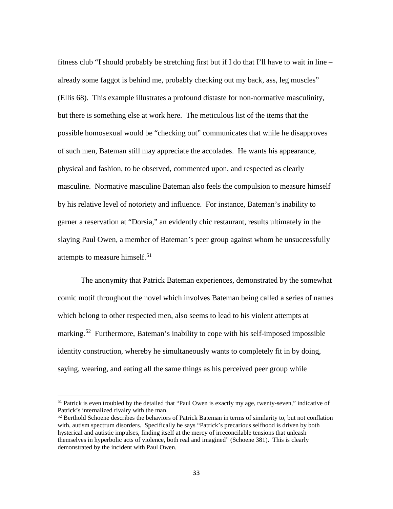fitness club "I should probably be stretching first but if I do that I'll have to wait in line – already some faggot is behind me, probably checking out my back, ass, leg muscles" (Ellis 68). This example illustrates a profound distaste for non-normative masculinity, but there is something else at work here. The meticulous list of the items that the possible homosexual would be "checking out" communicates that while he disapproves of such men, Bateman still may appreciate the accolades. He wants his appearance, physical and fashion, to be observed, commented upon, and respected as clearly masculine. Normative masculine Bateman also feels the compulsion to measure himself by his relative level of notoriety and influence. For instance, Bateman's inability to garner a reservation at "Dorsia," an evidently chic restaurant, results ultimately in the slaying Paul Owen, a member of Bateman's peer group against whom he unsuccessfully attempts to measure himself. [51](#page-37-0)

The anonymity that Patrick Bateman experiences, demonstrated by the somewhat comic motif throughout the novel which involves Bateman being called a series of names which belong to other respected men, also seems to lead to his violent attempts at marking.<sup>52</sup> Furthermore, Bateman's inability to cope with his self-imposed impossible identity construction, whereby he simultaneously wants to completely fit in by doing, saying, wearing, and eating all the same things as his perceived peer group while

<span id="page-37-0"></span><sup>&</sup>lt;sup>51</sup> Patrick is even troubled by the detailed that "Paul Owen is exactly my age, twenty-seven," indicative of Patrick's internalized rivalry with the man.

<span id="page-37-1"></span> $52$  Berthold Schoene describes the behaviors of Patrick Bateman in terms of similarity to, but not conflation with, autism spectrum disorders. Specifically he says "Patrick's precarious selfhood is driven by both hysterical and autistic impulses, finding itself at the mercy of irreconcilable tensions that unleash themselves in hyperbolic acts of violence, both real and imagined" (Schoene 381). This is clearly demonstrated by the incident with Paul Owen.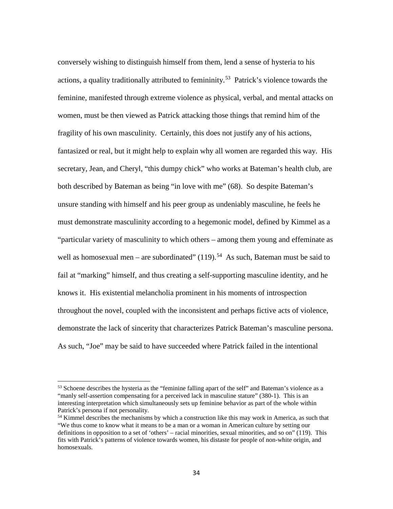conversely wishing to distinguish himself from them, lend a sense of hysteria to his actions, a quality traditionally attributed to femininity.<sup>[53](#page-38-0)</sup> Patrick's violence towards the feminine, manifested through extreme violence as physical, verbal, and mental attacks on women, must be then viewed as Patrick attacking those things that remind him of the fragility of his own masculinity. Certainly, this does not justify any of his actions, fantasized or real, but it might help to explain why all women are regarded this way. His secretary, Jean, and Cheryl, "this dumpy chick" who works at Bateman's health club, are both described by Bateman as being "in love with me" (68). So despite Bateman's unsure standing with himself and his peer group as undeniably masculine, he feels he must demonstrate masculinity according to a hegemonic model, defined by Kimmel as a "particular variety of masculinity to which others – among them young and effeminate as well as homosexual men – are subordinated"  $(119)$ .<sup>54</sup> As such, Bateman must be said to fail at "marking" himself, and thus creating a self-supporting masculine identity, and he knows it. His existential melancholia prominent in his moments of introspection throughout the novel, coupled with the inconsistent and perhaps fictive acts of violence, demonstrate the lack of sincerity that characterizes Patrick Bateman's masculine persona. As such, "Joe" may be said to have succeeded where Patrick failed in the intentional

<span id="page-38-0"></span> $53$  Schoene describes the hysteria as the "feminine falling apart of the self" and Bateman's violence as a "manly self-assertion compensating for a perceived lack in masculine stature" (380-1). This is an interesting interpretation which simultaneously sets up feminine behavior as part of the whole within Patrick's persona if not personality.

<span id="page-38-1"></span><sup>&</sup>lt;sup>54</sup> Kimmel describes the mechanisms by which a construction like this may work in America, as such that "We thus come to know what it means to be a man or a woman in American culture by setting our definitions in opposition to a set of 'others' – racial minorities, sexual minorities, and so on" (119). This fits with Patrick's patterns of violence towards women, his distaste for people of non-white origin, and homosexuals.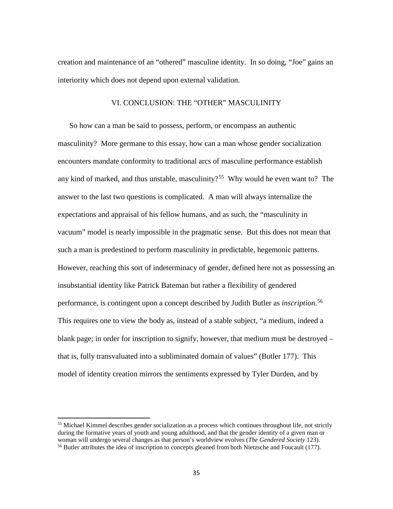creation and maintenance of an "othered" masculine identity. In so doing, "Joe" gains an interiority which does not depend upon external validation.

#### VI. CONCLUSION: THE "OTHER" MASCULINITY

So how can a man be said to possess, perform, or encompass an authentic masculinity? More germane to this essay, how can a man whose gender socialization encounters mandate conformity to traditional arcs of masculine performance establish any kind of marked, and thus unstable, masculinity?<sup>[55](#page-39-0)</sup> Why would he even want to? The answer to the last two questions is complicated. A man will always internalize the expectations and appraisal of his fellow humans, and as such, the "masculinity in vacuum" model is nearly impossible in the pragmatic sense. But this does not mean that such a man is predestined to perform masculinity in predictable, hegemonic patterns. However, reaching this sort of indeterminacy of gender, defined here not as possessing an insubstantial identity like Patrick Bateman but rather a flexibility of gendered performance, is contingent upon a concept described by Judith Butler as *inscription*. [56](#page-39-1)  This requires one to view the body as, instead of a stable subject, "a medium, indeed a blank page; in order for inscription to signify, however, that medium must be destroyed – that is, fully transvaluated into a subliminated domain of values" (Butler 177). This model of identity creation mirrors the sentiments expressed by Tyler Durden, and by

<span id="page-39-0"></span><sup>&</sup>lt;sup>55</sup> Michael Kimmel describes gender socialization as a process which continues throughout life, not strictly during the formative years of youth and young adulthood, and that the gender identity of a given man or woman will undergo several changes as that person's worldview evolves (*The Gendered Society* 123).

<span id="page-39-1"></span><sup>&</sup>lt;sup>56</sup> Butler attributes the idea of inscription to concepts gleaned from both Nietzsche and Foucault (177).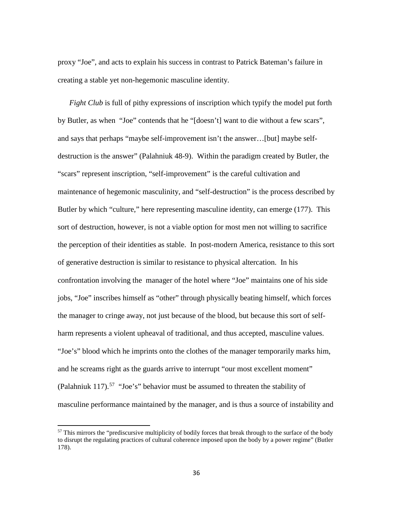proxy "Joe", and acts to explain his success in contrast to Patrick Bateman's failure in creating a stable yet non-hegemonic masculine identity.

*Fight Club* is full of pithy expressions of inscription which typify the model put forth by Butler, as when "Joe" contends that he "[doesn't] want to die without a few scars", and says that perhaps "maybe self-improvement isn't the answer…[but] maybe selfdestruction is the answer" (Palahniuk 48-9). Within the paradigm created by Butler, the "scars" represent inscription, "self-improvement" is the careful cultivation and maintenance of hegemonic masculinity, and "self-destruction" is the process described by Butler by which "culture," here representing masculine identity, can emerge (177). This sort of destruction, however, is not a viable option for most men not willing to sacrifice the perception of their identities as stable. In post-modern America, resistance to this sort of generative destruction is similar to resistance to physical altercation. In his confrontation involving the manager of the hotel where "Joe" maintains one of his side jobs, "Joe" inscribes himself as "other" through physically beating himself, which forces the manager to cringe away, not just because of the blood, but because this sort of selfharm represents a violent upheaval of traditional, and thus accepted, masculine values. "Joe's" blood which he imprints onto the clothes of the manager temporarily marks him, and he screams right as the guards arrive to interrupt "our most excellent moment" (Palahniuk 117).<sup>57</sup> "Joe's" behavior must be assumed to threaten the stability of masculine performance maintained by the manager, and is thus a source of instability and

<span id="page-40-0"></span><sup>&</sup>lt;sup>57</sup> This mirrors the "prediscursive multiplicity of bodily forces that break through to the surface of the body to disrupt the regulating practices of cultural coherence imposed upon the body by a power regime" (Butler 178).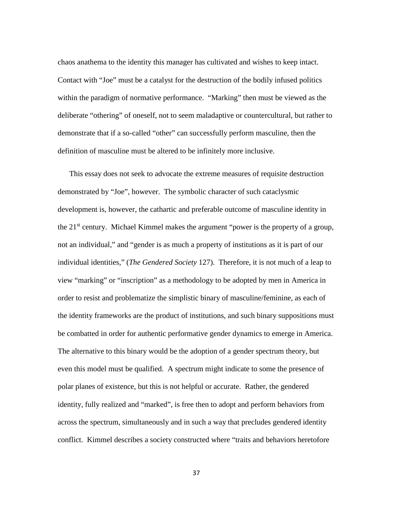chaos anathema to the identity this manager has cultivated and wishes to keep intact. Contact with "Joe" must be a catalyst for the destruction of the bodily infused politics within the paradigm of normative performance. "Marking" then must be viewed as the deliberate "othering" of oneself, not to seem maladaptive or countercultural, but rather to demonstrate that if a so-called "other" can successfully perform masculine, then the definition of masculine must be altered to be infinitely more inclusive.

This essay does not seek to advocate the extreme measures of requisite destruction demonstrated by "Joe", however. The symbolic character of such cataclysmic development is, however, the cathartic and preferable outcome of masculine identity in the 21<sup>st</sup> century. Michael Kimmel makes the argument "power is the property of a group, not an individual," and "gender is as much a property of institutions as it is part of our individual identities," (*The Gendered Society* 127). Therefore, it is not much of a leap to view "marking" or "inscription" as a methodology to be adopted by men in America in order to resist and problematize the simplistic binary of masculine/feminine, as each of the identity frameworks are the product of institutions, and such binary suppositions must be combatted in order for authentic performative gender dynamics to emerge in America. The alternative to this binary would be the adoption of a gender spectrum theory, but even this model must be qualified. A spectrum might indicate to some the presence of polar planes of existence, but this is not helpful or accurate. Rather, the gendered identity, fully realized and "marked", is free then to adopt and perform behaviors from across the spectrum, simultaneously and in such a way that precludes gendered identity conflict. Kimmel describes a society constructed where "traits and behaviors heretofore

37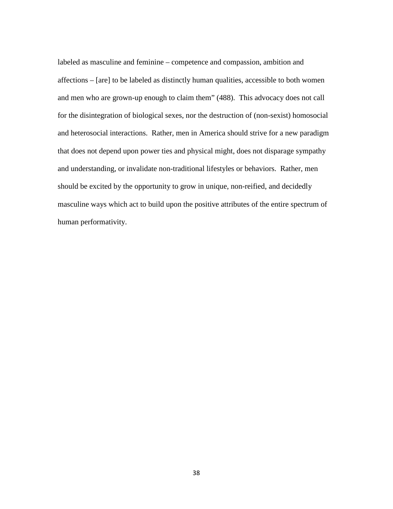labeled as masculine and feminine – competence and compassion, ambition and affections – [are] to be labeled as distinctly human qualities, accessible to both women and men who are grown-up enough to claim them" (488). This advocacy does not call for the disintegration of biological sexes, nor the destruction of (non-sexist) homosocial and heterosocial interactions. Rather, men in America should strive for a new paradigm that does not depend upon power ties and physical might, does not disparage sympathy and understanding, or invalidate non-traditional lifestyles or behaviors. Rather, men should be excited by the opportunity to grow in unique, non-reified, and decidedly masculine ways which act to build upon the positive attributes of the entire spectrum of human performativity.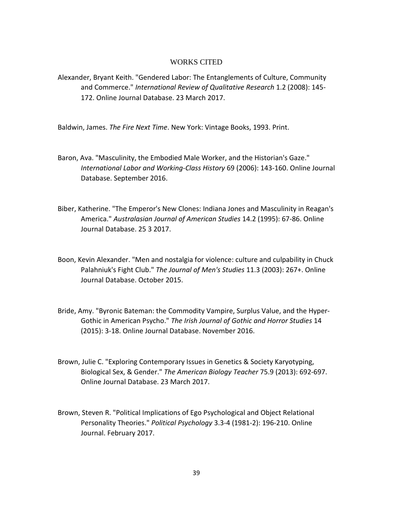#### WORKS CITED

Alexander, Bryant Keith. "Gendered Labor: The Entanglements of Culture, Community and Commerce." *International Review of Qualitative Research* 1.2 (2008): 145- 172. Online Journal Database. 23 March 2017.

Baldwin, James. *The Fire Next Time*. New York: Vintage Books, 1993. Print.

- Baron, Ava. "Masculinity, the Embodied Male Worker, and the Historian's Gaze." *International Labor and Working-Class History* 69 (2006): 143-160. Online Journal Database. September 2016.
- Biber, Katherine. "The Emperor's New Clones: Indiana Jones and Masculinity in Reagan's America." *Australasian Journal of American Studies* 14.2 (1995): 67-86. Online Journal Database. 25 3 2017.
- Boon, Kevin Alexander. "Men and nostalgia for violence: culture and culpability in Chuck Palahniuk's Fight Club." *The Journal of Men's Studies* 11.3 (2003): 267+. Online Journal Database. October 2015.
- Bride, Amy. "Byronic Bateman: the Commodity Vampire, Surplus Value, and the Hyper-Gothic in American Psycho." *The Irish Journal of Gothic and Horror Studies* 14 (2015): 3-18. Online Journal Database. November 2016.
- Brown, Julie C. "Exploring Contemporary Issues in Genetics & Society Karyotyping, Biological Sex, & Gender." *The American Biology Teacher* 75.9 (2013): 692-697. Online Journal Database. 23 March 2017.
- Brown, Steven R. "Political Implications of Ego Psychological and Object Relational Personality Theories." *Political Psychology* 3.3-4 (1981-2): 196-210. Online Journal. February 2017.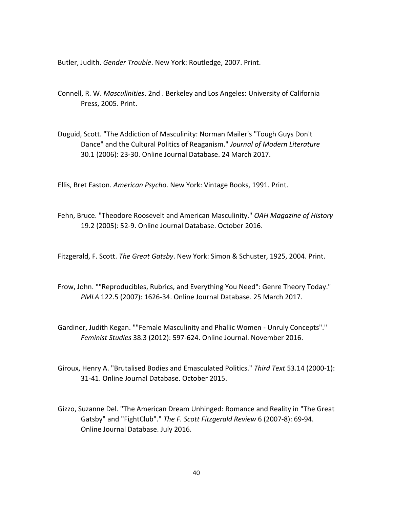Butler, Judith. *Gender Trouble*. New York: Routledge, 2007. Print.

- Connell, R. W. *Masculinities*. 2nd . Berkeley and Los Angeles: University of California Press, 2005. Print.
- Duguid, Scott. "The Addiction of Masculinity: Norman Mailer's "Tough Guys Don't Dance" and the Cultural Politics of Reaganism." *Journal of Modern Literature* 30.1 (2006): 23-30. Online Journal Database. 24 March 2017.

Ellis, Bret Easton. *American Psycho*. New York: Vintage Books, 1991. Print.

Fehn, Bruce. "Theodore Roosevelt and American Masculinity." *OAH Magazine of History* 19.2 (2005): 52-9. Online Journal Database. October 2016.

Fitzgerald, F. Scott. *The Great Gatsby*. New York: Simon & Schuster, 1925, 2004. Print.

- Frow, John. ""Reproducibles, Rubrics, and Everything You Need": Genre Theory Today." *PMLA* 122.5 (2007): 1626-34. Online Journal Database. 25 March 2017.
- Gardiner, Judith Kegan. ""Female Masculinity and Phallic Women Unruly Concepts"." *Feminist Studies* 38.3 (2012): 597-624. Online Journal. November 2016.
- Giroux, Henry A. "Brutalised Bodies and Emasculated Politics." *Third Text* 53.14 (2000-1): 31-41. Online Journal Database. October 2015.
- Gizzo, Suzanne Del. "The American Dream Unhinged: Romance and Reality in "The Great Gatsby" and "FightClub"." *The F. Scott Fitzgerald Review* 6 (2007-8): 69-94. Online Journal Database. July 2016.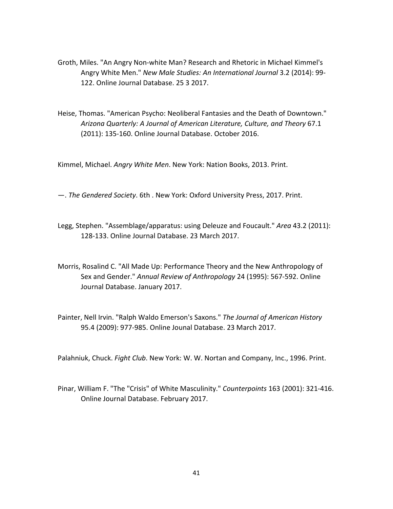- Groth, Miles. "An Angry Non-white Man? Research and Rhetoric in Michael Kimmel's Angry White Men." *New Male Studies: An International Journal* 3.2 (2014): 99- 122. Online Journal Database. 25 3 2017.
- Heise, Thomas. "American Psycho: Neoliberal Fantasies and the Death of Downtown." *Arizona Quarterly: A Journal of American Literature, Culture, and Theory* 67.1 (2011): 135-160. Online Journal Database. October 2016.

Kimmel, Michael. *Angry White Men*. New York: Nation Books, 2013. Print.

—. *The Gendered Society*. 6th . New York: Oxford University Press, 2017. Print.

- Legg, Stephen. "Assemblage/apparatus: using Deleuze and Foucault." *Area* 43.2 (2011): 128-133. Online Journal Database. 23 March 2017.
- Morris, Rosalind C. "All Made Up: Performance Theory and the New Anthropology of Sex and Gender." *Annual Review of Anthropology* 24 (1995): 567-592. Online Journal Database. January 2017.
- Painter, Nell Irvin. "Ralph Waldo Emerson's Saxons." *The Journal of American History* 95.4 (2009): 977-985. Online Jounal Database. 23 March 2017.

Palahniuk, Chuck. *Fight Club*. New York: W. W. Nortan and Company, Inc., 1996. Print.

Pinar, William F. "The "Crisis" of White Masculinity." *Counterpoints* 163 (2001): 321-416. Online Journal Database. February 2017.